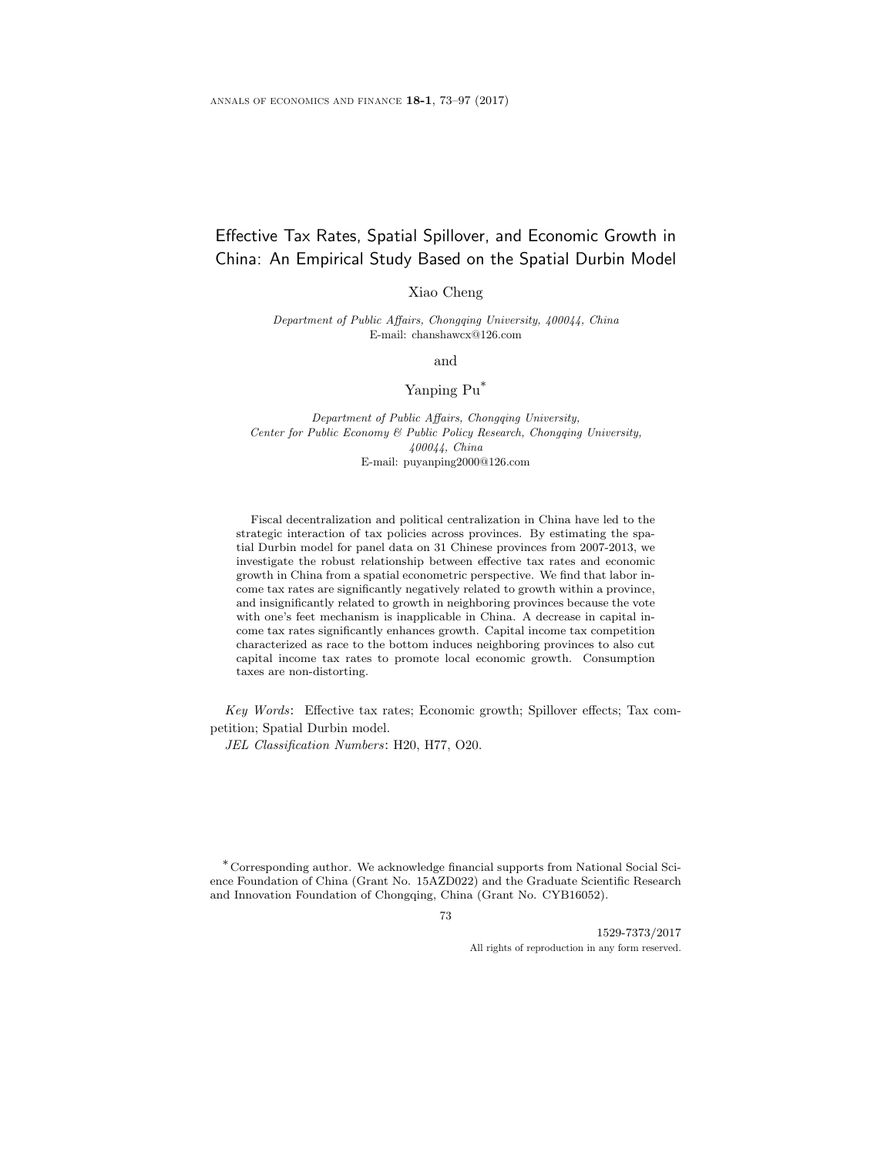# Effective Tax Rates, Spatial Spillover, and Economic Growth in China: An Empirical Study Based on the Spatial Durbin Model

Xiao Cheng

Department of Public Affairs, Chongqing University, 400044, China E-mail: chanshawcx@126.com

and

## Yanping Pu\*

Department of Public Affairs, Chongqing University, Center for Public Economy & Public Policy Research, Chongqing University, 400044, China E-mail: puyanping2000@126.com

Fiscal decentralization and political centralization in China have led to the strategic interaction of tax policies across provinces. By estimating the spatial Durbin model for panel data on 31 Chinese provinces from 2007-2013, we investigate the robust relationship between effective tax rates and economic growth in China from a spatial econometric perspective. We find that labor income tax rates are significantly negatively related to growth within a province, and insignificantly related to growth in neighboring provinces because the vote with one's feet mechanism is inapplicable in China. A decrease in capital income tax rates significantly enhances growth. Capital income tax competition characterized as race to the bottom induces neighboring provinces to also cut capital income tax rates to promote local economic growth. Consumption taxes are non-distorting.

Key Words: Effective tax rates; Economic growth; Spillover effects; Tax competition; Spatial Durbin model.

JEL Classification Numbers: H20, H77, O20.

\*Corresponding author. We acknowledge financial supports from National Social Science Foundation of China (Grant No. 15AZD022) and the Graduate Scientific Research and Innovation Foundation of Chongqing, China (Grant No. CYB16052).

73

1529-7373/2017 All rights of reproduction in any form reserved.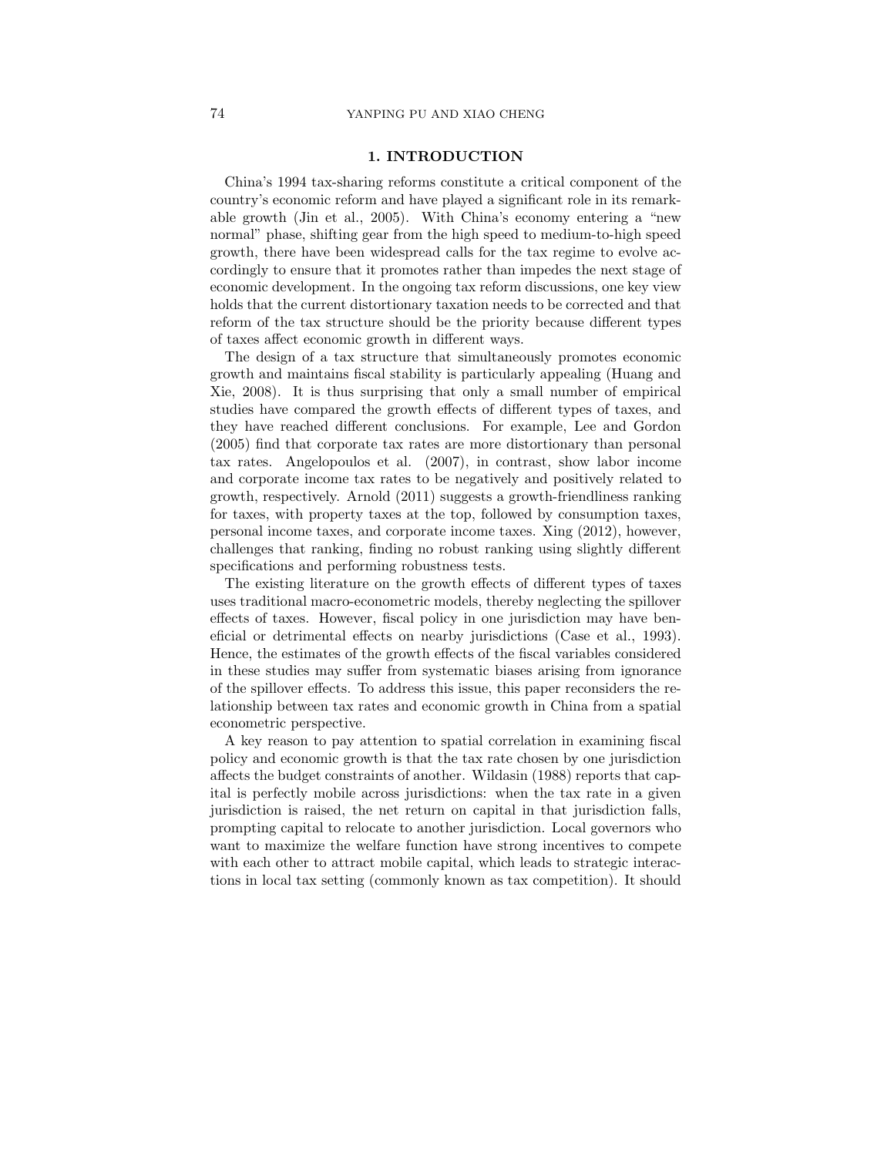### 1. INTRODUCTION

China's 1994 tax-sharing reforms constitute a critical component of the country's economic reform and have played a significant role in its remarkable growth (Jin et al., 2005). With China's economy entering a "new normal" phase, shifting gear from the high speed to medium-to-high speed growth, there have been widespread calls for the tax regime to evolve accordingly to ensure that it promotes rather than impedes the next stage of economic development. In the ongoing tax reform discussions, one key view holds that the current distortionary taxation needs to be corrected and that reform of the tax structure should be the priority because different types of taxes affect economic growth in different ways.

The design of a tax structure that simultaneously promotes economic growth and maintains fiscal stability is particularly appealing (Huang and Xie, 2008). It is thus surprising that only a small number of empirical studies have compared the growth effects of different types of taxes, and they have reached different conclusions. For example, Lee and Gordon (2005) find that corporate tax rates are more distortionary than personal tax rates. Angelopoulos et al. (2007), in contrast, show labor income and corporate income tax rates to be negatively and positively related to growth, respectively. Arnold (2011) suggests a growth-friendliness ranking for taxes, with property taxes at the top, followed by consumption taxes, personal income taxes, and corporate income taxes. Xing (2012), however, challenges that ranking, finding no robust ranking using slightly different specifications and performing robustness tests.

The existing literature on the growth effects of different types of taxes uses traditional macro-econometric models, thereby neglecting the spillover effects of taxes. However, fiscal policy in one jurisdiction may have beneficial or detrimental effects on nearby jurisdictions (Case et al., 1993). Hence, the estimates of the growth effects of the fiscal variables considered in these studies may suffer from systematic biases arising from ignorance of the spillover effects. To address this issue, this paper reconsiders the relationship between tax rates and economic growth in China from a spatial econometric perspective.

A key reason to pay attention to spatial correlation in examining fiscal policy and economic growth is that the tax rate chosen by one jurisdiction affects the budget constraints of another. Wildasin (1988) reports that capital is perfectly mobile across jurisdictions: when the tax rate in a given jurisdiction is raised, the net return on capital in that jurisdiction falls, prompting capital to relocate to another jurisdiction. Local governors who want to maximize the welfare function have strong incentives to compete with each other to attract mobile capital, which leads to strategic interactions in local tax setting (commonly known as tax competition). It should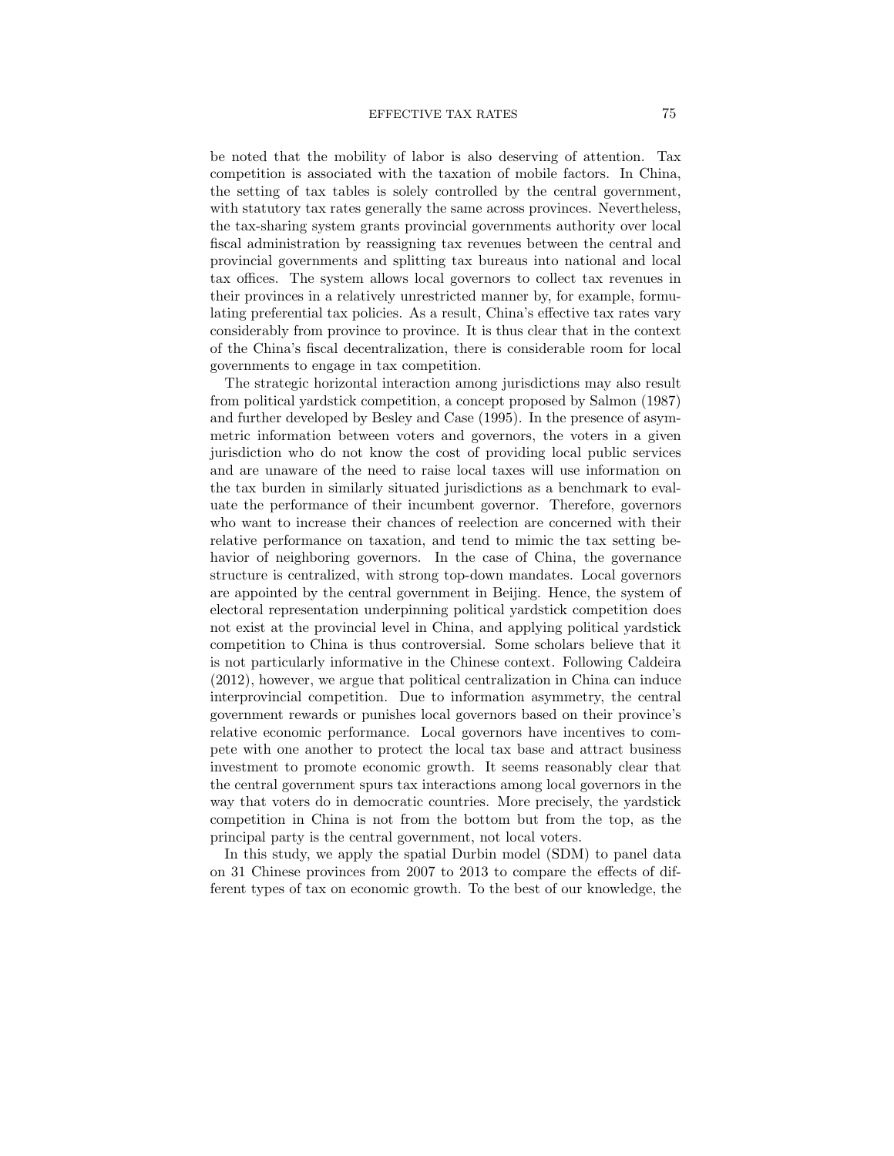be noted that the mobility of labor is also deserving of attention. Tax competition is associated with the taxation of mobile factors. In China, the setting of tax tables is solely controlled by the central government, with statutory tax rates generally the same across provinces. Nevertheless, the tax-sharing system grants provincial governments authority over local fiscal administration by reassigning tax revenues between the central and provincial governments and splitting tax bureaus into national and local tax offices. The system allows local governors to collect tax revenues in their provinces in a relatively unrestricted manner by, for example, formulating preferential tax policies. As a result, China's effective tax rates vary considerably from province to province. It is thus clear that in the context of the China's fiscal decentralization, there is considerable room for local governments to engage in tax competition.

The strategic horizontal interaction among jurisdictions may also result from political yardstick competition, a concept proposed by Salmon (1987) and further developed by Besley and Case (1995). In the presence of asymmetric information between voters and governors, the voters in a given jurisdiction who do not know the cost of providing local public services and are unaware of the need to raise local taxes will use information on the tax burden in similarly situated jurisdictions as a benchmark to evaluate the performance of their incumbent governor. Therefore, governors who want to increase their chances of reelection are concerned with their relative performance on taxation, and tend to mimic the tax setting behavior of neighboring governors. In the case of China, the governance structure is centralized, with strong top-down mandates. Local governors are appointed by the central government in Beijing. Hence, the system of electoral representation underpinning political yardstick competition does not exist at the provincial level in China, and applying political yardstick competition to China is thus controversial. Some scholars believe that it is not particularly informative in the Chinese context. Following Caldeira (2012), however, we argue that political centralization in China can induce interprovincial competition. Due to information asymmetry, the central government rewards or punishes local governors based on their province's relative economic performance. Local governors have incentives to compete with one another to protect the local tax base and attract business investment to promote economic growth. It seems reasonably clear that the central government spurs tax interactions among local governors in the way that voters do in democratic countries. More precisely, the yardstick competition in China is not from the bottom but from the top, as the principal party is the central government, not local voters.

In this study, we apply the spatial Durbin model (SDM) to panel data on 31 Chinese provinces from 2007 to 2013 to compare the effects of different types of tax on economic growth. To the best of our knowledge, the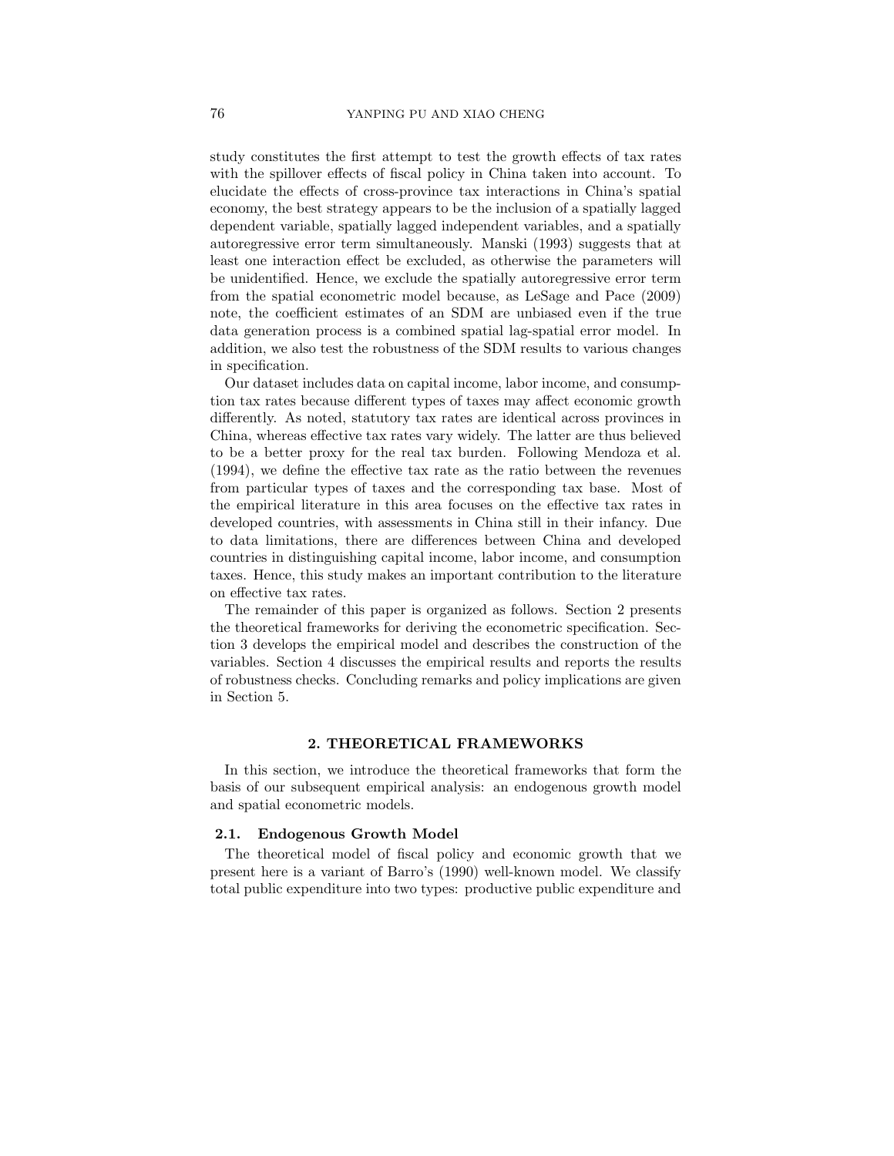study constitutes the first attempt to test the growth effects of tax rates with the spillover effects of fiscal policy in China taken into account. To elucidate the effects of cross-province tax interactions in China's spatial economy, the best strategy appears to be the inclusion of a spatially lagged dependent variable, spatially lagged independent variables, and a spatially autoregressive error term simultaneously. Manski (1993) suggests that at least one interaction effect be excluded, as otherwise the parameters will be unidentified. Hence, we exclude the spatially autoregressive error term from the spatial econometric model because, as LeSage and Pace (2009) note, the coefficient estimates of an SDM are unbiased even if the true data generation process is a combined spatial lag-spatial error model. In addition, we also test the robustness of the SDM results to various changes in specification.

Our dataset includes data on capital income, labor income, and consumption tax rates because different types of taxes may affect economic growth differently. As noted, statutory tax rates are identical across provinces in China, whereas effective tax rates vary widely. The latter are thus believed to be a better proxy for the real tax burden. Following Mendoza et al. (1994), we define the effective tax rate as the ratio between the revenues from particular types of taxes and the corresponding tax base. Most of the empirical literature in this area focuses on the effective tax rates in developed countries, with assessments in China still in their infancy. Due to data limitations, there are differences between China and developed countries in distinguishing capital income, labor income, and consumption taxes. Hence, this study makes an important contribution to the literature on effective tax rates.

The remainder of this paper is organized as follows. Section 2 presents the theoretical frameworks for deriving the econometric specification. Section 3 develops the empirical model and describes the construction of the variables. Section 4 discusses the empirical results and reports the results of robustness checks. Concluding remarks and policy implications are given in Section 5.

### 2. THEORETICAL FRAMEWORKS

In this section, we introduce the theoretical frameworks that form the basis of our subsequent empirical analysis: an endogenous growth model and spatial econometric models.

#### 2.1. Endogenous Growth Model

The theoretical model of fiscal policy and economic growth that we present here is a variant of Barro's (1990) well-known model. We classify total public expenditure into two types: productive public expenditure and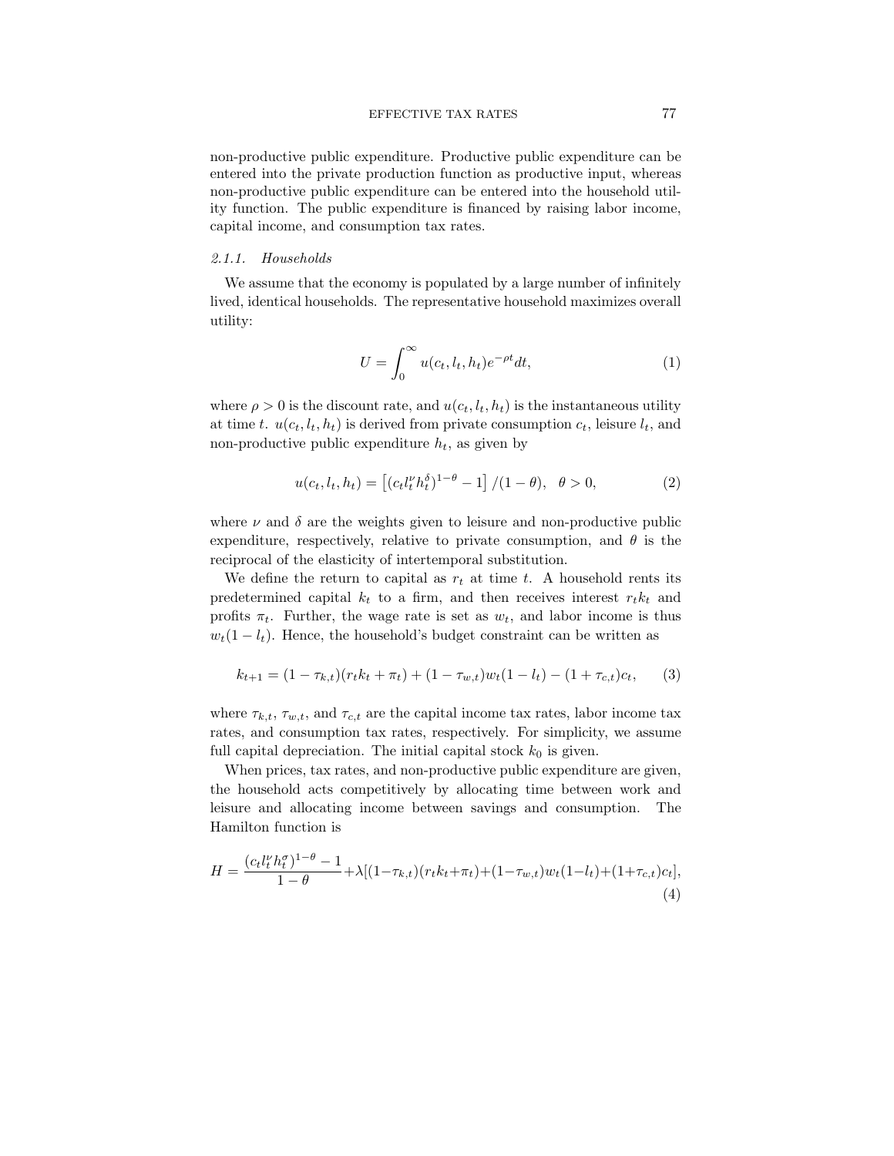non-productive public expenditure. Productive public expenditure can be entered into the private production function as productive input, whereas non-productive public expenditure can be entered into the household utility function. The public expenditure is financed by raising labor income, capital income, and consumption tax rates.

### 2.1.1. Households

We assume that the economy is populated by a large number of infinitely lived, identical households. The representative household maximizes overall utility:

$$
U = \int_0^\infty u(c_t, l_t, h_t) e^{-\rho t} dt,\tag{1}
$$

where  $\rho > 0$  is the discount rate, and  $u(c_t, l_t, h_t)$  is the instantaneous utility at time t.  $u(c_t, l_t, h_t)$  is derived from private consumption  $c_t$ , leisure  $l_t$ , and non-productive public expenditure  $h_t$ , as given by

$$
u(c_t, l_t, h_t) = \left[ (c_t l_t^{\nu} h_t^{\delta})^{1-\theta} - 1 \right] / (1 - \theta), \quad \theta > 0,
$$
 (2)

where  $\nu$  and  $\delta$  are the weights given to leisure and non-productive public expenditure, respectively, relative to private consumption, and  $\theta$  is the reciprocal of the elasticity of intertemporal substitution.

We define the return to capital as  $r_t$  at time t. A household rents its predetermined capital  $k_t$  to a firm, and then receives interest  $r_t k_t$  and profits  $\pi_t$ . Further, the wage rate is set as  $w_t$ , and labor income is thus  $w_t(1 - l_t)$ . Hence, the household's budget constraint can be written as

$$
k_{t+1} = (1 - \tau_{k,t})(r_t k_t + \pi_t) + (1 - \tau_{w,t})w_t(1 - l_t) - (1 + \tau_{c,t})c_t, \qquad (3)
$$

where  $\tau_{k,t}$ ,  $\tau_{w,t}$ , and  $\tau_{c,t}$  are the capital income tax rates, labor income tax rates, and consumption tax rates, respectively. For simplicity, we assume full capital depreciation. The initial capital stock  $k_0$  is given.

When prices, tax rates, and non-productive public expenditure are given, the household acts competitively by allocating time between work and leisure and allocating income between savings and consumption. The Hamilton function is

$$
H = \frac{(c_t l_t^{\nu} h_t^{\sigma})^{1-\theta} - 1}{1-\theta} + \lambda [(1-\tau_{k,t})(r_t k_t + \pi_t) + (1-\tau_{w,t}) w_t (1-l_t) + (1+\tau_{c,t}) c_t],
$$
\n(4)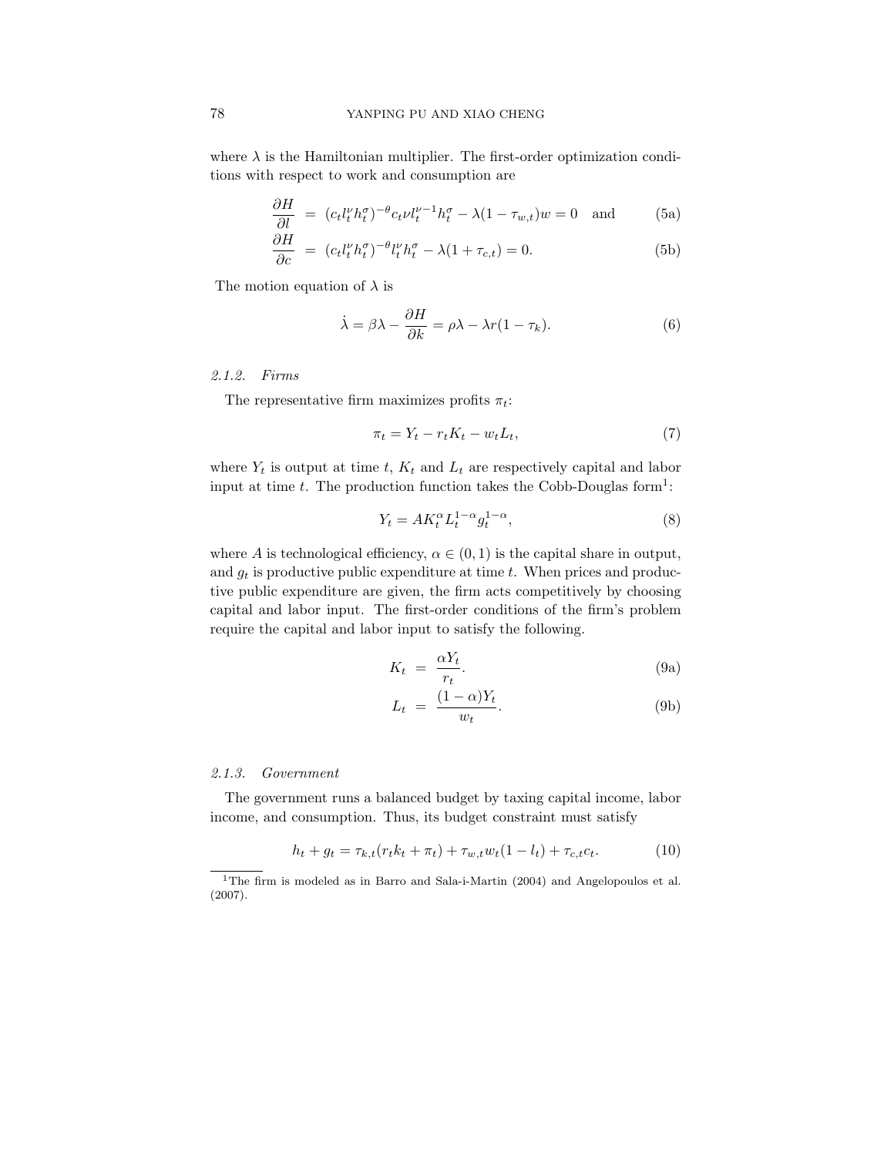where  $\lambda$  is the Hamiltonian multiplier. The first-order optimization conditions with respect to work and consumption are

$$
\frac{\partial H}{\partial l} = (c_t l_t^{\nu} h_t^{\sigma})^{-\theta} c_t \nu l_t^{\nu-1} h_t^{\sigma} - \lambda (1 - \tau_{w,t}) w = 0 \text{ and } (5a)
$$

$$
\frac{\partial H}{\partial c} = (c_t l_t^{\nu} h_t^{\sigma})^{-\theta} l_t^{\nu} h_t^{\sigma} - \lambda (1 + \tau_{c,t}) = 0.
$$
\n(5b)

The motion equation of  $\lambda$  is

$$
\dot{\lambda} = \beta \lambda - \frac{\partial H}{\partial k} = \rho \lambda - \lambda r (1 - \tau_k). \tag{6}
$$

### 2.1.2. Firms

The representative firm maximizes profits  $\pi_t$ :

$$
\pi_t = Y_t - r_t K_t - w_t L_t,\tag{7}
$$

where  $Y_t$  is output at time t,  $K_t$  and  $L_t$  are respectively capital and labor input at time t. The production function takes the Cobb-Douglas form<sup>1</sup>:

$$
Y_t = AK_t^{\alpha}L_t^{1-\alpha}g_t^{1-\alpha},\tag{8}
$$

where A is technological efficiency,  $\alpha \in (0,1)$  is the capital share in output, and  $g_t$  is productive public expenditure at time t. When prices and productive public expenditure are given, the firm acts competitively by choosing capital and labor input. The first-order conditions of the firm's problem require the capital and labor input to satisfy the following.

$$
K_t = \frac{\alpha Y_t}{r_t}.
$$
\n(9a)

$$
L_t = \frac{(1 - \alpha)Y_t}{w_t}.
$$
\n(9b)

#### 2.1.3. Government

The government runs a balanced budget by taxing capital income, labor income, and consumption. Thus, its budget constraint must satisfy

$$
h_t + g_t = \tau_{k,t}(r_t k_t + \pi_t) + \tau_{w,t} w_t (1 - l_t) + \tau_{c,t} c_t.
$$
 (10)

<sup>&</sup>lt;sup>1</sup>The firm is modeled as in Barro and Sala-i-Martin (2004) and Angelopoulos et al. (2007).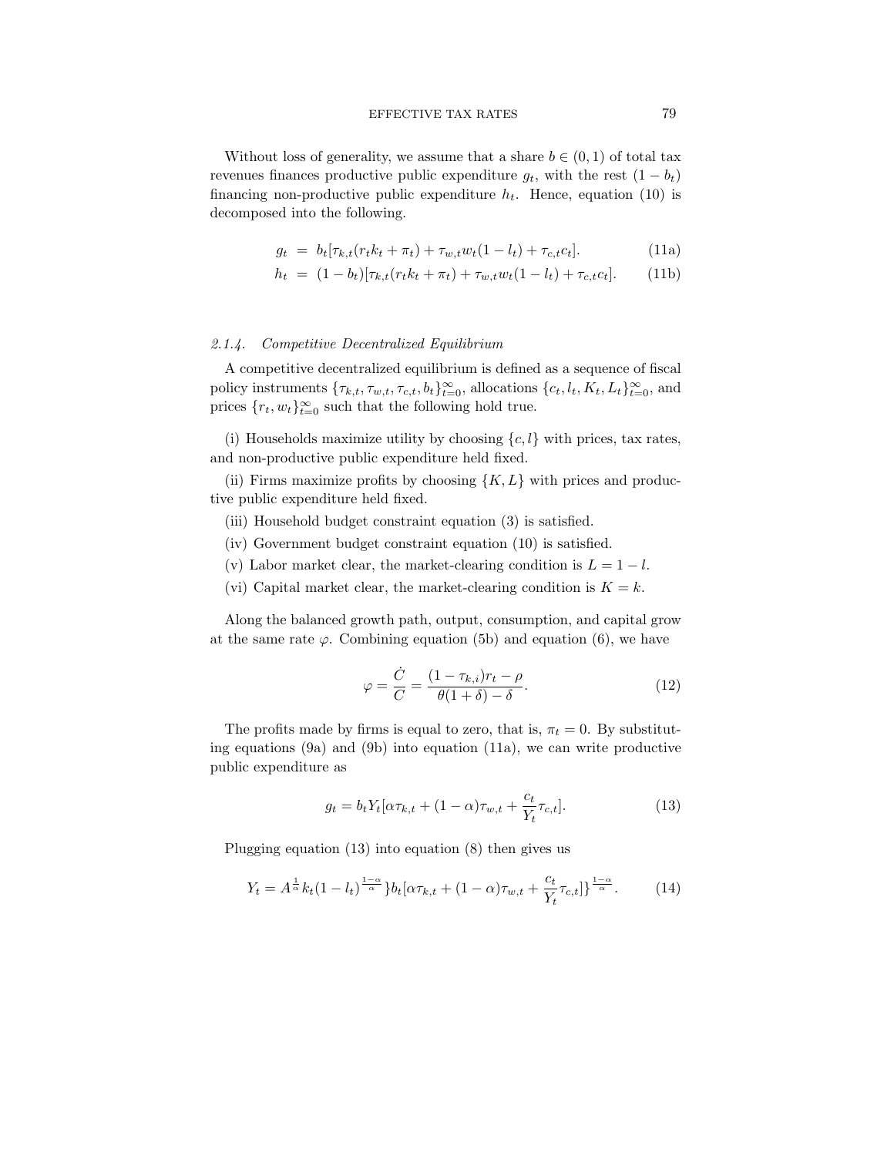Without loss of generality, we assume that a share  $b \in (0,1)$  of total tax revenues finances productive public expenditure  $g_t$ , with the rest  $(1 - b_t)$ financing non-productive public expenditure  $h_t$ . Hence, equation (10) is decomposed into the following.

$$
g_t = b_t[\tau_{k,t}(r_t k_t + \pi_t) + \tau_{w,t} w_t (1 - l_t) + \tau_{c,t} c_t].
$$
\n(11a)

$$
h_t = (1 - b_t)[\tau_{k,t}(r_t k_t + \pi_t) + \tau_{w,t} w_t (1 - l_t) + \tau_{c,t} c_t].
$$
 (11b)

### 2.1.4. Competitive Decentralized Equilibrium

A competitive decentralized equilibrium is defined as a sequence of fiscal policy instruments  $\{\tau_{k,t}, \tau_{w,t}, \tau_{c,t}, b_t\}_{t=0}^{\infty}$ , allocations  $\{c_t, l_t, K_t, L_t\}_{t=0}^{\infty}$ , and prices  $\{r_t, w_t\}_{t=0}^{\infty}$  such that the following hold true.

(i) Households maximize utility by choosing  ${c, l}$  with prices, tax rates, and non-productive public expenditure held fixed.

(ii) Firms maximize profits by choosing  $\{K, L\}$  with prices and productive public expenditure held fixed.

- (iii) Household budget constraint equation (3) is satisfied.
- (iv) Government budget constraint equation (10) is satisfied.
- (v) Labor market clear, the market-clearing condition is  $L = 1 l$ .
- (vi) Capital market clear, the market-clearing condition is  $K = k$ .

Along the balanced growth path, output, consumption, and capital grow at the same rate  $\varphi$ . Combining equation (5b) and equation (6), we have

$$
\varphi = \frac{\dot{C}}{C} = \frac{(1 - \tau_{k,i})r_t - \rho}{\theta(1 + \delta) - \delta}.
$$
\n(12)

The profits made by firms is equal to zero, that is,  $\pi_t = 0$ . By substituting equations (9a) and (9b) into equation (11a), we can write productive public expenditure as

$$
g_t = b_t Y_t [\alpha \tau_{k,t} + (1 - \alpha) \tau_{w,t} + \frac{c_t}{Y_t} \tau_{c,t}].
$$
\n(13)

Plugging equation (13) into equation (8) then gives us

$$
Y_t = A^{\frac{1}{\alpha}} k_t (1 - l_t)^{\frac{1-\alpha}{\alpha}} \left\{ b_t [\alpha \tau_{k,t} + (1 - \alpha) \tau_{w,t} + \frac{c_t}{Y_t} \tau_{c,t}] \right\}^{\frac{1-\alpha}{\alpha}}.
$$
 (14)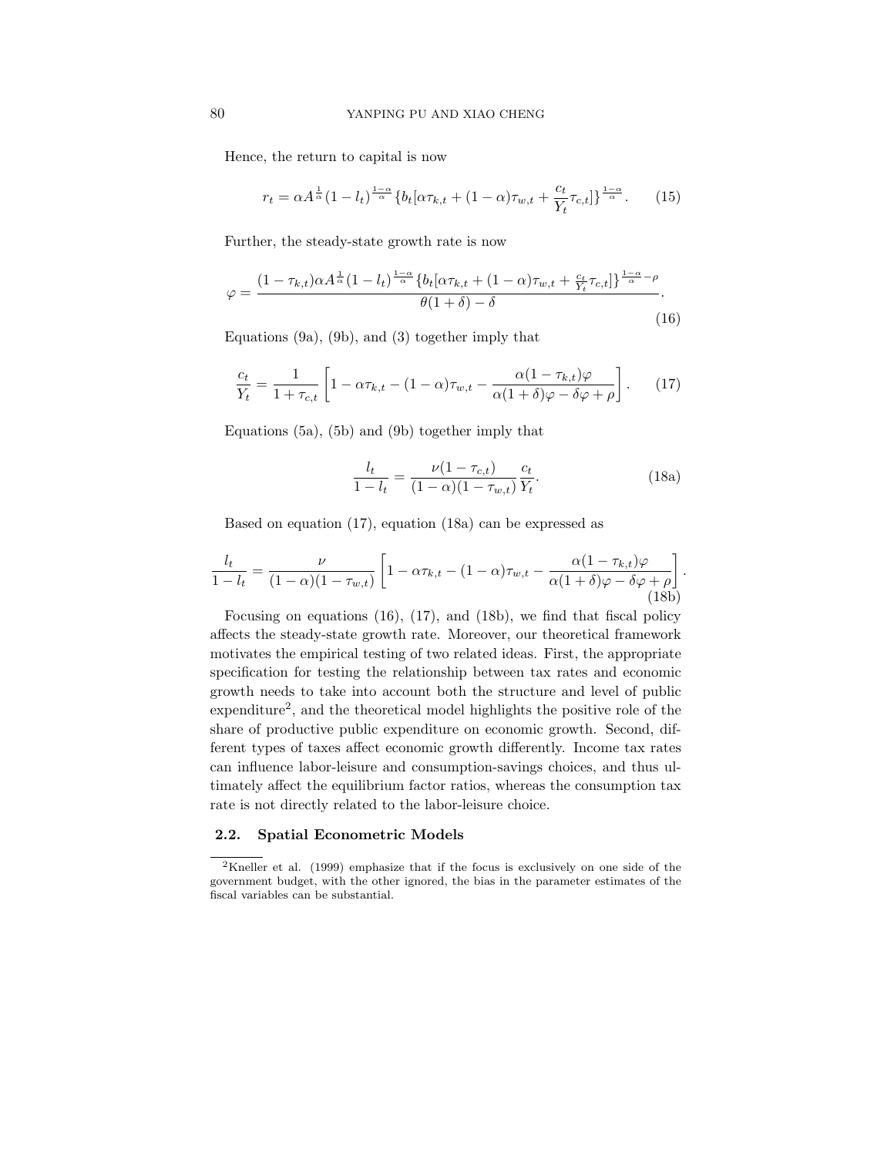Hence, the return to capital is now

$$
r_t = \alpha A^{\frac{1}{\alpha}} (1 - l_t)^{\frac{1-\alpha}{\alpha}} \{ b_t [\alpha \tau_{k,t} + (1-\alpha) \tau_{w,t} + \frac{c_t}{Y_t} \tau_{c,t} ] \}^{\frac{1-\alpha}{\alpha}}.
$$
 (15)

Further, the steady-state growth rate is now

$$
\varphi = \frac{(1 - \tau_{k,t})\alpha A^{\frac{1}{\alpha}}(1 - l_t)^{\frac{1-\alpha}{\alpha}}\left\{b_t[\alpha\tau_{k,t} + (1 - \alpha)\tau_{w,t} + \frac{c_t}{Y_t}\tau_{c,t}]\right\}^{\frac{1-\alpha}{\alpha} - \rho}}{\theta(1+\delta) - \delta}.
$$
\n(16)

Equations (9a), (9b), and (3) together imply that

$$
\frac{c_t}{Y_t} = \frac{1}{1 + \tau_{c,t}} \left[ 1 - \alpha \tau_{k,t} - (1 - \alpha) \tau_{w,t} - \frac{\alpha (1 - \tau_{k,t}) \varphi}{\alpha (1 + \delta) \varphi - \delta \varphi + \rho} \right].
$$
 (17)

Equations (5a), (5b) and (9b) together imply that

$$
\frac{l_t}{1 - l_t} = \frac{\nu (1 - \tau_{c,t})}{(1 - \alpha)(1 - \tau_{w,t})} \frac{c_t}{Y_t}.
$$
\n(18a)

Based on equation (17), equation (18a) can be expressed as

$$
\frac{l_t}{1 - l_t} = \frac{\nu}{(1 - \alpha)(1 - \tau_{w,t})} \left[ 1 - \alpha \tau_{k,t} - (1 - \alpha) \tau_{w,t} - \frac{\alpha (1 - \tau_{k,t}) \varphi}{\alpha (1 + \delta) \varphi - \delta \varphi + \rho} \right].
$$
\n(18b)

Focusing on equations (16), (17), and (18b), we find that fiscal policy affects the steady-state growth rate. Moreover, our theoretical framework motivates the empirical testing of two related ideas. First, the appropriate specification for testing the relationship between tax rates and economic growth needs to take into account both the structure and level of public expenditure<sup>2</sup>, and the theoretical model highlights the positive role of the share of productive public expenditure on economic growth. Second, different types of taxes affect economic growth differently. Income tax rates can influence labor-leisure and consumption-savings choices, and thus ultimately affect the equilibrium factor ratios, whereas the consumption tax rate is not directly related to the labor-leisure choice.

### 2.2. Spatial Econometric Models

<sup>2</sup>Kneller et al. (1999) emphasize that if the focus is exclusively on one side of the government budget, with the other ignored, the bias in the parameter estimates of the fiscal variables can be substantial.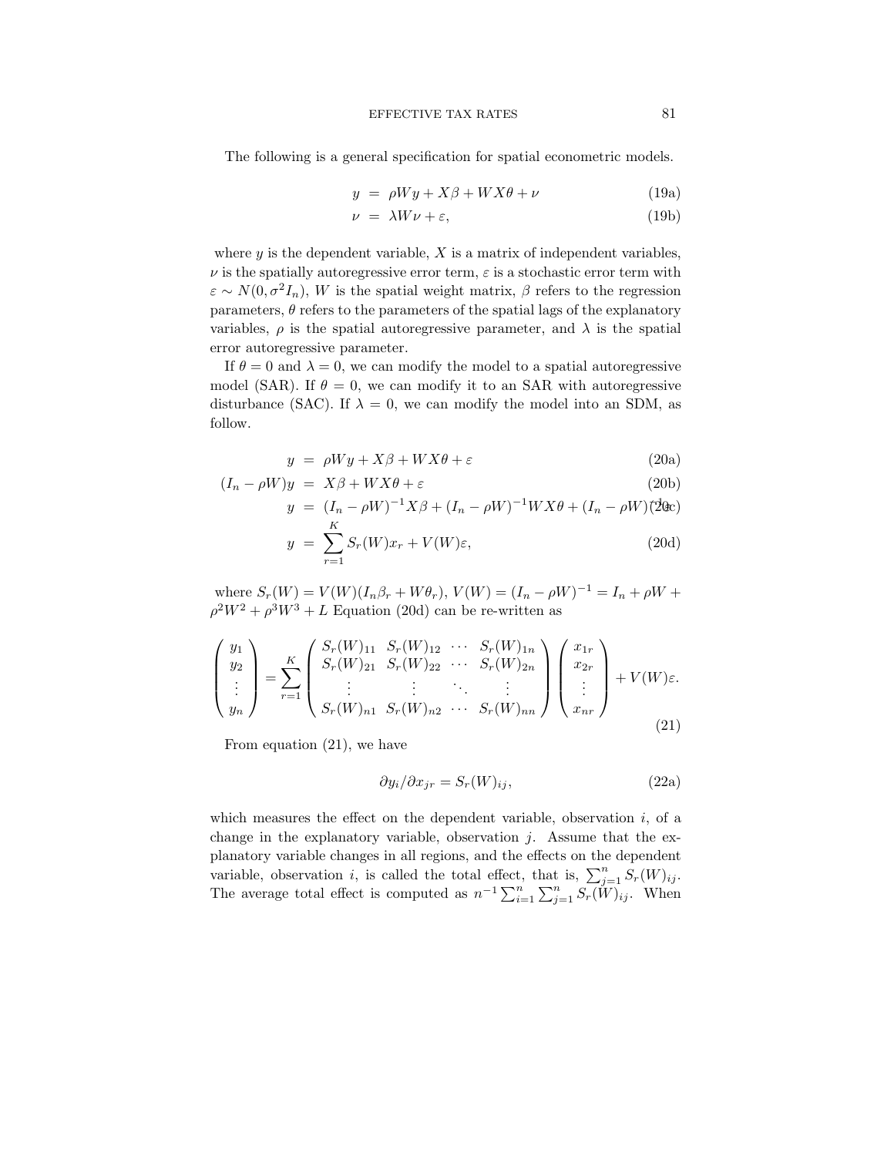The following is a general specification for spatial econometric models.

$$
y = \rho Wy + X\beta + WX\theta + \nu \tag{19a}
$$

$$
\nu = \lambda W \nu + \varepsilon, \tag{19b}
$$

where  $y$  is the dependent variable,  $X$  is a matrix of independent variables,  $\nu$  is the spatially autoregressive error term,  $\varepsilon$  is a stochastic error term with  $\varepsilon \sim N(0, \sigma^2 I_n)$ , W is the spatial weight matrix,  $\beta$  refers to the regression parameters,  $\theta$  refers to the parameters of the spatial lags of the explanatory variables,  $\rho$  is the spatial autoregressive parameter, and  $\lambda$  is the spatial error autoregressive parameter.

If  $\theta = 0$  and  $\lambda = 0$ , we can modify the model to a spatial autoregressive model (SAR). If  $\theta = 0$ , we can modify it to an SAR with autoregressive disturbance (SAC). If  $\lambda = 0$ , we can modify the model into an SDM, as follow.

$$
y = \rho Wy + X\beta + WX\theta + \varepsilon \tag{20a}
$$

$$
(I_n - \rho W)y = X\beta + WX\theta + \varepsilon \tag{20b}
$$

$$
y = (I_n - \rho W)^{-1} X \beta + (I_n - \rho W)^{-1} W X \theta + (I_n - \rho W) (2 \text{d}c)
$$

$$
y = \sum_{r=1}^{N} S_r(W)x_r + V(W)\varepsilon,
$$
\n(20d)

where  $S_r(W) = V(W)(I_n \beta_r + W \theta_r)$ ,  $V(W) = (I_n - \rho W)^{-1} = I_n + \rho W +$  $\rho^2 W^2 + \rho^3 W^3 + L$  Equation (20d) can be re-written as

$$
\begin{pmatrix} y_1 \\ y_2 \\ \vdots \\ y_n \end{pmatrix} = \sum_{r=1}^K \begin{pmatrix} S_r(W)_{11} & S_r(W)_{12} & \cdots & S_r(W)_{1n} \\ S_r(W)_{21} & S_r(W)_{22} & \cdots & S_r(W)_{2n} \\ \vdots & \vdots & \ddots & \vdots \\ S_r(W)_{n1} & S_r(W)_{n2} & \cdots & S_r(W)_{nn} \end{pmatrix} \begin{pmatrix} x_{1r} \\ x_{2r} \\ \vdots \\ x_{nr} \end{pmatrix} + V(W)\varepsilon.
$$
\n(21)

From equation (21), we have

$$
\frac{\partial y_i}{\partial x_{jr}} = S_r(W)_{ij},\tag{22a}
$$

which measures the effect on the dependent variable, observation  $i$ , of a change in the explanatory variable, observation  $j$ . Assume that the explanatory variable changes in all regions, and the effects on the dependent variable, observation *i*, is called the total effect, that is,  $\sum_{j=1}^{n} S_r(W)_{ij}$ . The average total effect is computed as  $n^{-1} \sum_{i=1}^{n} \sum_{j=1}^{n} S_r(W)_{ij}$ . When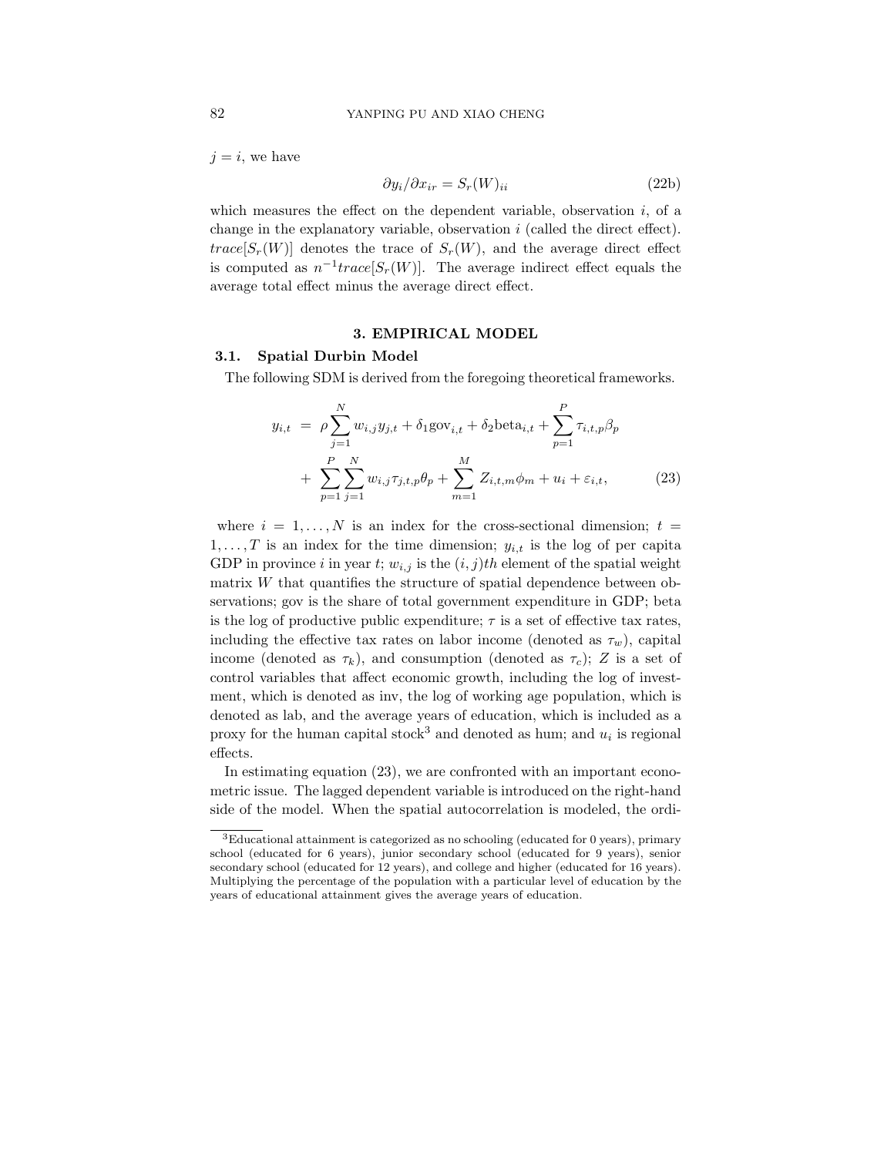$j = i$ , we have

$$
\partial y_i / \partial x_{ir} = S_r(W)_{ii} \tag{22b}
$$

which measures the effect on the dependent variable, observation  $i$ , of a change in the explanatory variable, observation  $i$  (called the direct effect).  $trace[S_r(W)]$  denotes the trace of  $S_r(W)$ , and the average direct effect is computed as  $n^{-1}trace[S_r(W)]$ . The average indirect effect equals the average total effect minus the average direct effect.

#### 3. EMPIRICAL MODEL

### 3.1. Spatial Durbin Model

The following SDM is derived from the foregoing theoretical frameworks.

$$
y_{i,t} = \rho \sum_{j=1}^{N} w_{i,j} y_{j,t} + \delta_1 \text{gov}_{i,t} + \delta_2 \text{beta}_{i,t} + \sum_{p=1}^{P} \tau_{i,t,p} \beta_p + \sum_{p=1}^{P} \sum_{j=1}^{N} w_{i,j} \tau_{j,t,p} \theta_p + \sum_{m=1}^{M} Z_{i,t,m} \phi_m + u_i + \varepsilon_{i,t},
$$
 (23)

where  $i = 1, ..., N$  is an index for the cross-sectional dimension;  $t =$  $1, \ldots, T$  is an index for the time dimension;  $y_{i,t}$  is the log of per capita GDP in province i in year t;  $w_{i,j}$  is the  $(i, j)$ th element of the spatial weight matrix  $W$  that quantifies the structure of spatial dependence between observations; gov is the share of total government expenditure in GDP; beta is the log of productive public expenditure;  $\tau$  is a set of effective tax rates, including the effective tax rates on labor income (denoted as  $\tau_w$ ), capital income (denoted as  $\tau_k$ ), and consumption (denoted as  $\tau_c$ ); Z is a set of control variables that affect economic growth, including the log of investment, which is denoted as inv, the log of working age population, which is denoted as lab, and the average years of education, which is included as a proxy for the human capital stock<sup>3</sup> and denoted as hum; and  $u_i$  is regional effects.

In estimating equation (23), we are confronted with an important econometric issue. The lagged dependent variable is introduced on the right-hand side of the model. When the spatial autocorrelation is modeled, the ordi-

<sup>3</sup>Educational attainment is categorized as no schooling (educated for 0 years), primary school (educated for 6 years), junior secondary school (educated for 9 years), senior secondary school (educated for 12 years), and college and higher (educated for 16 years). Multiplying the percentage of the population with a particular level of education by the years of educational attainment gives the average years of education.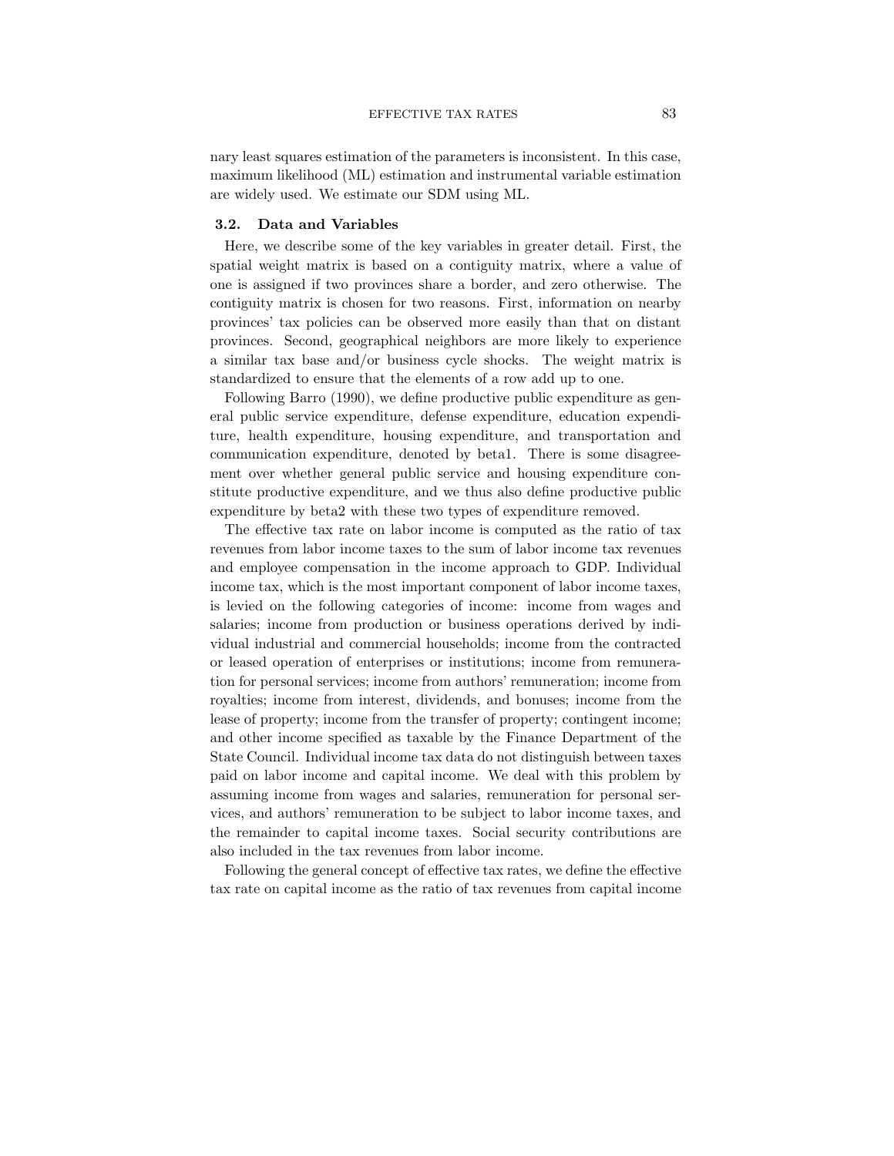nary least squares estimation of the parameters is inconsistent. In this case, maximum likelihood (ML) estimation and instrumental variable estimation are widely used. We estimate our SDM using ML.

#### 3.2. Data and Variables

Here, we describe some of the key variables in greater detail. First, the spatial weight matrix is based on a contiguity matrix, where a value of one is assigned if two provinces share a border, and zero otherwise. The contiguity matrix is chosen for two reasons. First, information on nearby provinces' tax policies can be observed more easily than that on distant provinces. Second, geographical neighbors are more likely to experience a similar tax base and/or business cycle shocks. The weight matrix is standardized to ensure that the elements of a row add up to one.

Following Barro (1990), we define productive public expenditure as general public service expenditure, defense expenditure, education expenditure, health expenditure, housing expenditure, and transportation and communication expenditure, denoted by beta1. There is some disagreement over whether general public service and housing expenditure constitute productive expenditure, and we thus also define productive public expenditure by beta2 with these two types of expenditure removed.

The effective tax rate on labor income is computed as the ratio of tax revenues from labor income taxes to the sum of labor income tax revenues and employee compensation in the income approach to GDP. Individual income tax, which is the most important component of labor income taxes, is levied on the following categories of income: income from wages and salaries; income from production or business operations derived by individual industrial and commercial households; income from the contracted or leased operation of enterprises or institutions; income from remuneration for personal services; income from authors' remuneration; income from royalties; income from interest, dividends, and bonuses; income from the lease of property; income from the transfer of property; contingent income; and other income specified as taxable by the Finance Department of the State Council. Individual income tax data do not distinguish between taxes paid on labor income and capital income. We deal with this problem by assuming income from wages and salaries, remuneration for personal services, and authors' remuneration to be subject to labor income taxes, and the remainder to capital income taxes. Social security contributions are also included in the tax revenues from labor income.

Following the general concept of effective tax rates, we define the effective tax rate on capital income as the ratio of tax revenues from capital income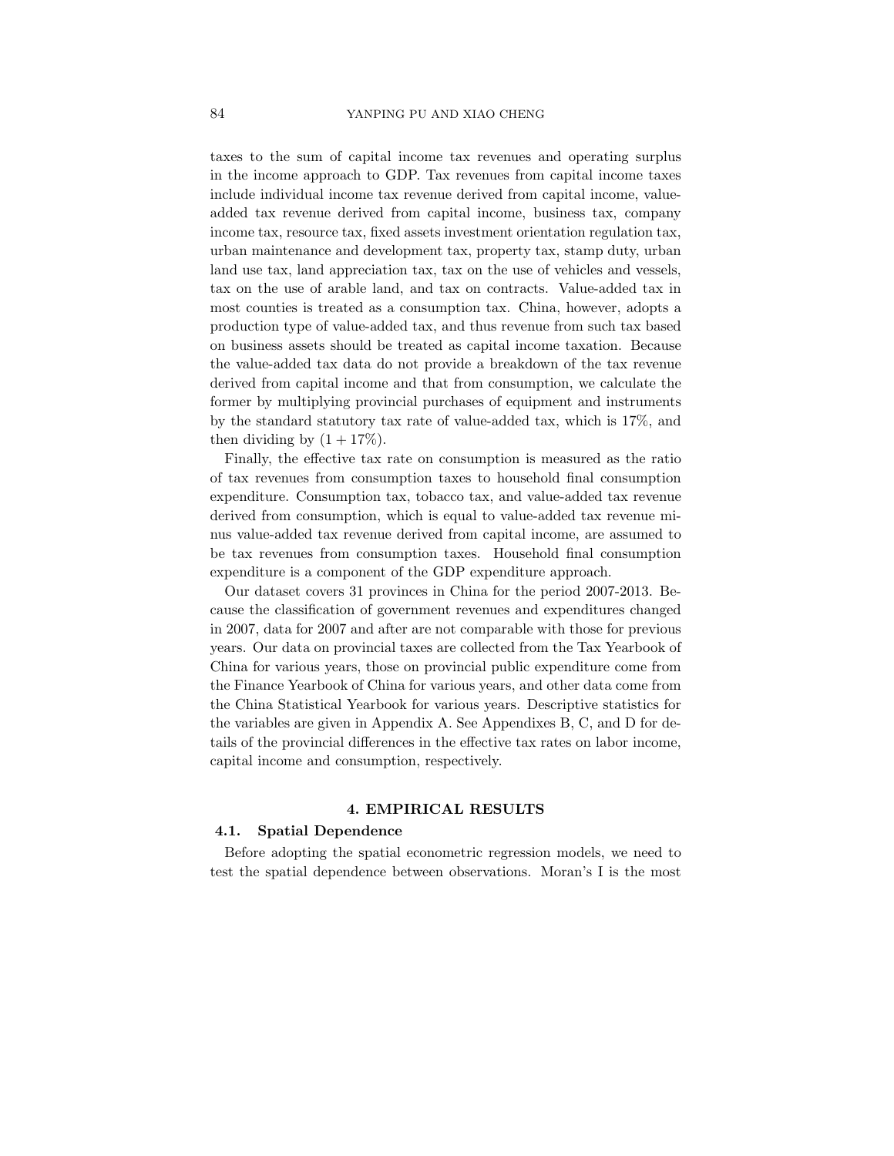taxes to the sum of capital income tax revenues and operating surplus in the income approach to GDP. Tax revenues from capital income taxes include individual income tax revenue derived from capital income, valueadded tax revenue derived from capital income, business tax, company income tax, resource tax, fixed assets investment orientation regulation tax, urban maintenance and development tax, property tax, stamp duty, urban land use tax, land appreciation tax, tax on the use of vehicles and vessels, tax on the use of arable land, and tax on contracts. Value-added tax in most counties is treated as a consumption tax. China, however, adopts a production type of value-added tax, and thus revenue from such tax based on business assets should be treated as capital income taxation. Because the value-added tax data do not provide a breakdown of the tax revenue derived from capital income and that from consumption, we calculate the former by multiplying provincial purchases of equipment and instruments by the standard statutory tax rate of value-added tax, which is 17%, and then dividing by  $(1 + 17\%)$ .

Finally, the effective tax rate on consumption is measured as the ratio of tax revenues from consumption taxes to household final consumption expenditure. Consumption tax, tobacco tax, and value-added tax revenue derived from consumption, which is equal to value-added tax revenue minus value-added tax revenue derived from capital income, are assumed to be tax revenues from consumption taxes. Household final consumption expenditure is a component of the GDP expenditure approach.

Our dataset covers 31 provinces in China for the period 2007-2013. Because the classification of government revenues and expenditures changed in 2007, data for 2007 and after are not comparable with those for previous years. Our data on provincial taxes are collected from the Tax Yearbook of China for various years, those on provincial public expenditure come from the Finance Yearbook of China for various years, and other data come from the China Statistical Yearbook for various years. Descriptive statistics for the variables are given in Appendix A. See Appendixes B, C, and D for details of the provincial differences in the effective tax rates on labor income, capital income and consumption, respectively.

### 4. EMPIRICAL RESULTS

#### 4.1. Spatial Dependence

Before adopting the spatial econometric regression models, we need to test the spatial dependence between observations. Moran's I is the most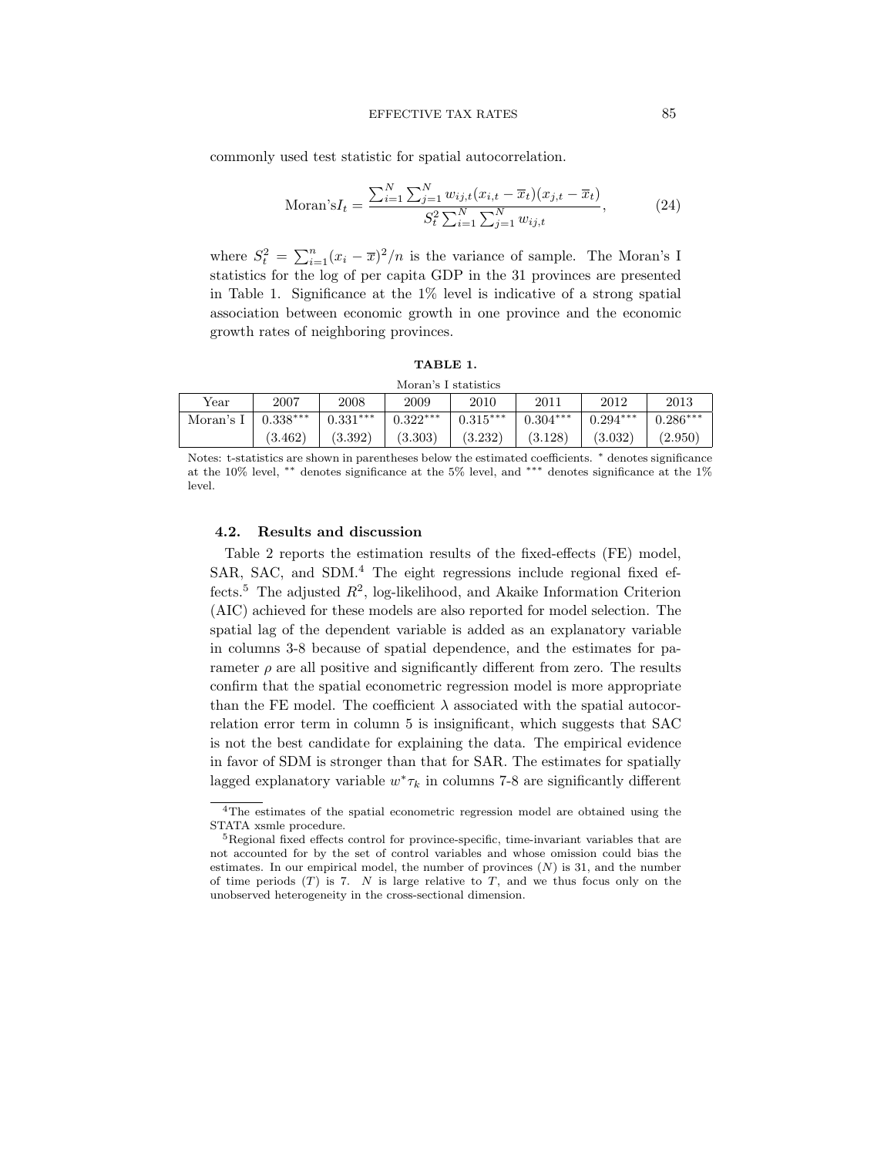commonly used test statistic for spatial autocorrelation.

$$
\text{Moran's}I_t = \frac{\sum_{i=1}^{N} \sum_{j=1}^{N} w_{ij,t} (x_{i,t} - \overline{x}_t)(x_{j,t} - \overline{x}_t)}{S_t^2 \sum_{i=1}^{N} \sum_{j=1}^{N} w_{ij,t}},\tag{24}
$$

where  $S_t^2 = \sum_{i=1}^n (x_i - \overline{x})^2/n$  is the variance of sample. The Moran's I statistics for the log of per capita GDP in the 31 provinces are presented in Table 1. Significance at the 1% level is indicative of a strong spatial association between economic growth in one province and the economic growth rates of neighboring provinces.

#### TABLE 1.

| Moran's I statistics |            |                       |            |            |            |            |            |  |  |  |
|----------------------|------------|-----------------------|------------|------------|------------|------------|------------|--|--|--|
| Year                 | 2007       | 2008                  | 2009       | 2010       | 2011       | 2012       | 2013       |  |  |  |
| Moran's I            | $0.338***$ | $0.331***$            | $0.322***$ | $0.315***$ | $0.304***$ | $0.294***$ | $0.286***$ |  |  |  |
|                      | (3.462)    | $\left( 3.392\right)$ | (3.303)    | (3.232)    | (3.128)    | (3.032)    | (2.950)    |  |  |  |

Notes: t-statistics are shown in parentheses below the estimated coefficients. <sup>∗</sup> denotes significance at the 10% level, ∗∗ denotes significance at the 5% level, and ∗∗∗ denotes significance at the 1% level.

#### 4.2. Results and discussion

Table 2 reports the estimation results of the fixed-effects (FE) model, SAR, SAC, and SDM.<sup>4</sup> The eight regressions include regional fixed effects.<sup>5</sup> The adjusted  $R^2$ , log-likelihood, and Akaike Information Criterion (AIC) achieved for these models are also reported for model selection. The spatial lag of the dependent variable is added as an explanatory variable in columns 3-8 because of spatial dependence, and the estimates for parameter  $\rho$  are all positive and significantly different from zero. The results confirm that the spatial econometric regression model is more appropriate than the FE model. The coefficient  $\lambda$  associated with the spatial autocorrelation error term in column 5 is insignificant, which suggests that SAC is not the best candidate for explaining the data. The empirical evidence in favor of SDM is stronger than that for SAR. The estimates for spatially lagged explanatory variable  $w^*\tau_k$  in columns 7-8 are significantly different

<sup>4</sup>The estimates of the spatial econometric regression model are obtained using the STATA xsmle procedure.

<sup>&</sup>lt;sup>5</sup>Regional fixed effects control for province-specific, time-invariant variables that are not accounted for by the set of control variables and whose omission could bias the estimates. In our empirical model, the number of provinces  $(N)$  is 31, and the number of time periods  $(T)$  is 7. N is large relative to T, and we thus focus only on the unobserved heterogeneity in the cross-sectional dimension.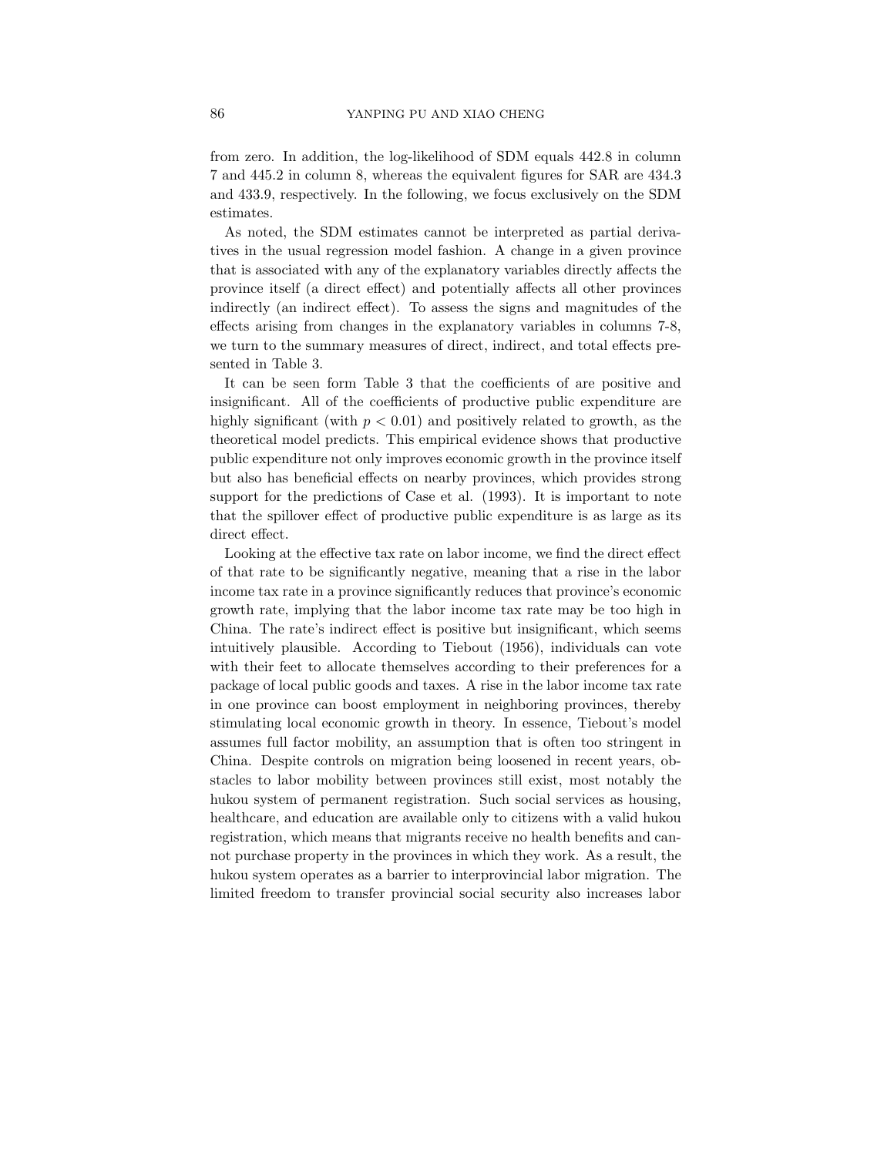from zero. In addition, the log-likelihood of SDM equals 442.8 in column 7 and 445.2 in column 8, whereas the equivalent figures for SAR are 434.3 and 433.9, respectively. In the following, we focus exclusively on the SDM estimates.

As noted, the SDM estimates cannot be interpreted as partial derivatives in the usual regression model fashion. A change in a given province that is associated with any of the explanatory variables directly affects the province itself (a direct effect) and potentially affects all other provinces indirectly (an indirect effect). To assess the signs and magnitudes of the effects arising from changes in the explanatory variables in columns 7-8, we turn to the summary measures of direct, indirect, and total effects presented in Table 3.

It can be seen form Table 3 that the coefficients of are positive and insignificant. All of the coefficients of productive public expenditure are highly significant (with  $p < 0.01$ ) and positively related to growth, as the theoretical model predicts. This empirical evidence shows that productive public expenditure not only improves economic growth in the province itself but also has beneficial effects on nearby provinces, which provides strong support for the predictions of Case et al. (1993). It is important to note that the spillover effect of productive public expenditure is as large as its direct effect.

Looking at the effective tax rate on labor income, we find the direct effect of that rate to be significantly negative, meaning that a rise in the labor income tax rate in a province significantly reduces that province's economic growth rate, implying that the labor income tax rate may be too high in China. The rate's indirect effect is positive but insignificant, which seems intuitively plausible. According to Tiebout (1956), individuals can vote with their feet to allocate themselves according to their preferences for a package of local public goods and taxes. A rise in the labor income tax rate in one province can boost employment in neighboring provinces, thereby stimulating local economic growth in theory. In essence, Tiebout's model assumes full factor mobility, an assumption that is often too stringent in China. Despite controls on migration being loosened in recent years, obstacles to labor mobility between provinces still exist, most notably the hukou system of permanent registration. Such social services as housing, healthcare, and education are available only to citizens with a valid hukou registration, which means that migrants receive no health benefits and cannot purchase property in the provinces in which they work. As a result, the hukou system operates as a barrier to interprovincial labor migration. The limited freedom to transfer provincial social security also increases labor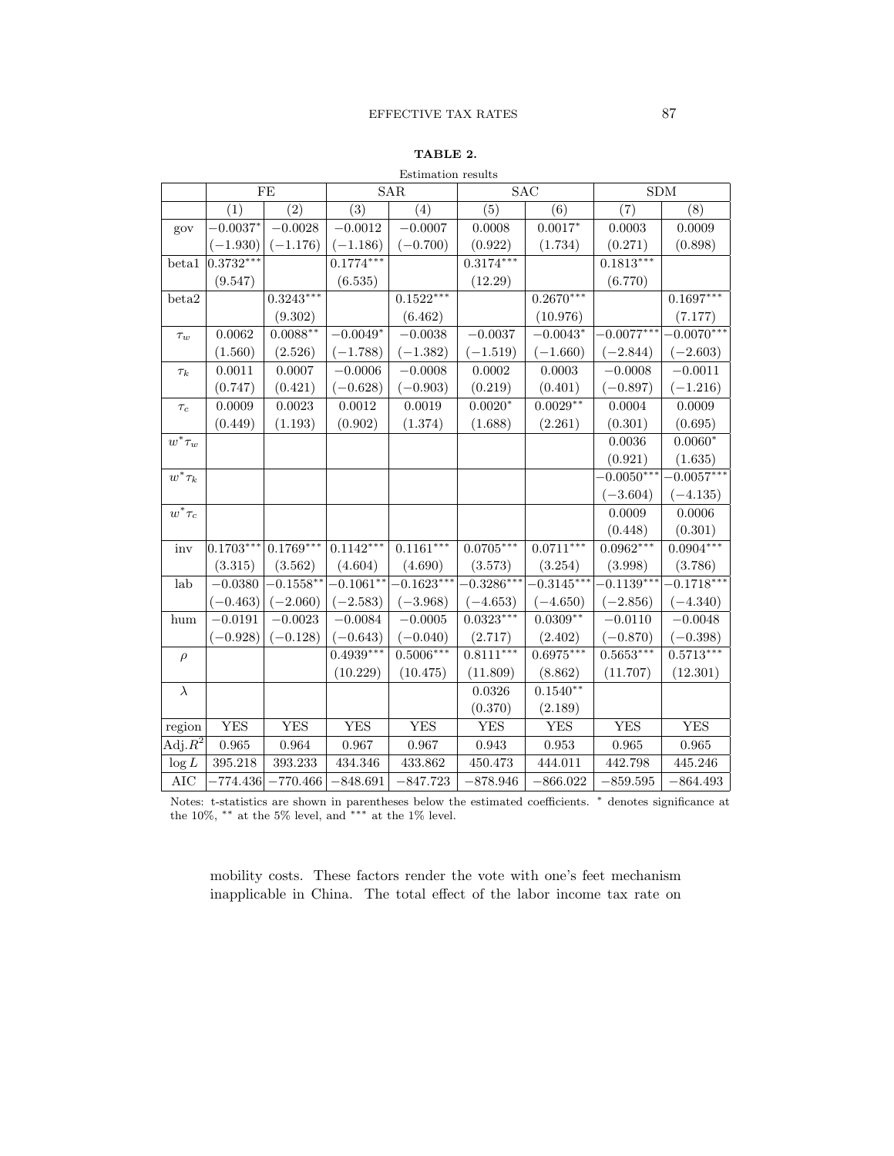## TABLE 2.

|                      |             | FE           |              | SAR                     | <b>SAC</b>   |              | SDM                  |              |
|----------------------|-------------|--------------|--------------|-------------------------|--------------|--------------|----------------------|--------------|
|                      | (1)         | (2)          | (3)          | (4)                     | (5)          | (6)          | (7)                  | (8)          |
| gov                  | $-0.0037*$  | $-0.0028$    | $-0.0012$    | $-0.0007$               | 0.0008       | $0.0017*$    | 0.0003               | 0.0009       |
|                      | $(-1.930)$  | $(-1.176)$   | $(-1.186)$   | $(-0.700)$              | (0.922)      | (1.734)      | (0.271)              | (0.898)      |
| beta1                | $0.3732***$ |              | $0.1774***$  |                         | $0.3174***$  |              | $0.1813***$          |              |
|                      | (9.547)     |              | (6.535)      |                         | (12.29)      |              | (6.770)              |              |
| beta2                |             | $0.3243***$  |              | $0.1522***$             |              | $0.2670***$  |                      | $0.1697***$  |
|                      |             | (9.302)      |              | (6.462)                 |              | (10.976)     |                      | (7.177)      |
| $\tau_w$             | 0.0062      | $0.0088***$  | $-0.0049*$   | $-0.0038$               | $-0.0037$    | $-0.0043*$   | $-0.0077***$         | $-0.0070***$ |
|                      | (1.560)     | (2.526)      | $(-1.788)$   | $(-1.382)$              | $(-1.519)$   | $(-1.660)$   | $(-2.844)$           | $(-2.603)$   |
| $\tau_k$             | 0.0011      | 0.0007       | $-0.0006$    | $-0.0008$               | 0.0002       | 0.0003       | $-0.0008$            | $-0.0011$    |
|                      | (0.747)     | (0.421)      | $(-0.628)$   | $(-0.903)$              | (0.219)      | (0.401)      | $(-0.897)$           | $(-1.216)$   |
| $\tau_c$             | 0.0009      | 0.0023       | $\,0.0012\,$ | 0.0019                  | $0.0020*$    | $0.0029**$   | 0.0004               | 0.0009       |
|                      | (0.449)     | (1.193)      | (0.902)      | (1.374)                 | (1.688)      | (2.261)      | (0.301)              | (0.695)      |
| $w^*\tau_w$          |             |              |              |                         |              |              | 0.0036               | $0.0060*$    |
|                      |             |              |              |                         |              |              | (0.921)              | (1.635)      |
| $w^*\tau_k$          |             |              |              |                         |              |              | $-0.0050***$         | $-0.0057***$ |
|                      |             |              |              |                         |              |              | $(-3.604)$           | $(-4.135)$   |
| $w^*\tau_c$          |             |              |              |                         |              |              | 0.0009               | 0.0006       |
|                      |             |              |              |                         |              |              | (0.448)              | (0.301)      |
| inv                  | $0.1703***$ | $0.1769***$  | $0.1142***$  | $0.1161***$             | $0.0705***$  | $0.0711***$  | $0.0962***$          | $0.0904***$  |
|                      | (3.315)     | (3.562)      | (4.604)      | (4.690)                 | (3.573)      | (3.254)      | (3.998)              | (3.786)      |
| lab                  | $-0.0380$   | $-0.1558***$ | $-0.1061***$ | $-0.16\overline{23***}$ | $-0.3286***$ | $-0.3145***$ | $-0.1139***$         | $-0.1718***$ |
|                      | $(-0.463)$  | $(-2.060)$   | $(-2.583)$   | $(-3.968)$              | $(-4.653)$   | $(-4.650)$   | $(-2.856)$           | $(-4.340)$   |
| hum                  | $-0.0191$   | $-0.0023$    | $-0.0084$    | $-0.0005$               | $0.0323***$  | $0.0309**$   | $-0.01\overline{10}$ | $-0.0048$    |
|                      | $(-0.928)$  | $(-0.128)$   | $(-0.643)$   | $(-0.040)$              | (2.717)      | (2.402)      | $(-0.870)$           | $(-0.398)$   |
| $\rho$               |             |              | $0.4939***$  | $0.5006***$             | $0.8111***$  | $0.6975***$  | $0.5653***$          | $0.5713***$  |
|                      |             |              | (10.229)     | (10.475)                | (11.809)     | (8.862)      | (11.707)             | (12.301)     |
| $\overline{\lambda}$ |             |              |              |                         | 0.0326       | $0.1540**$   |                      |              |
|                      |             |              |              |                         | (0.370)      | (2.189)      |                      |              |
| region               | <b>YES</b>  | <b>YES</b>   | <b>YES</b>   | <b>YES</b>              | YES          | YES          | <b>YES</b>           | <b>YES</b>   |
| Adj. $R^2$           | 0.965       | 0.964        | 0.967        | 0.967                   | 0.943        | 0.953        | 0.965                | 0.965        |
| $\log L$             | 395.218     | 393.233      | 434.346      | 433.862                 | 450.473      | 444.011      | 442.798              | 445.246      |
| AIC                  | $-774.436$  | $-770.466$   | $-848.691$   | $-847.723$              | $-878.946$   | $-866.022$   | $-859.595$           | $-864.493$   |

Estimation results

Notes: t-statistics are shown in parentheses below the estimated coefficients. <sup>∗</sup> denotes significance at the 10%,  $**$  at the 5% level, and  $***$  at the 1% level.

mobility costs. These factors render the vote with one's feet mechanism inapplicable in China. The total effect of the labor income tax rate on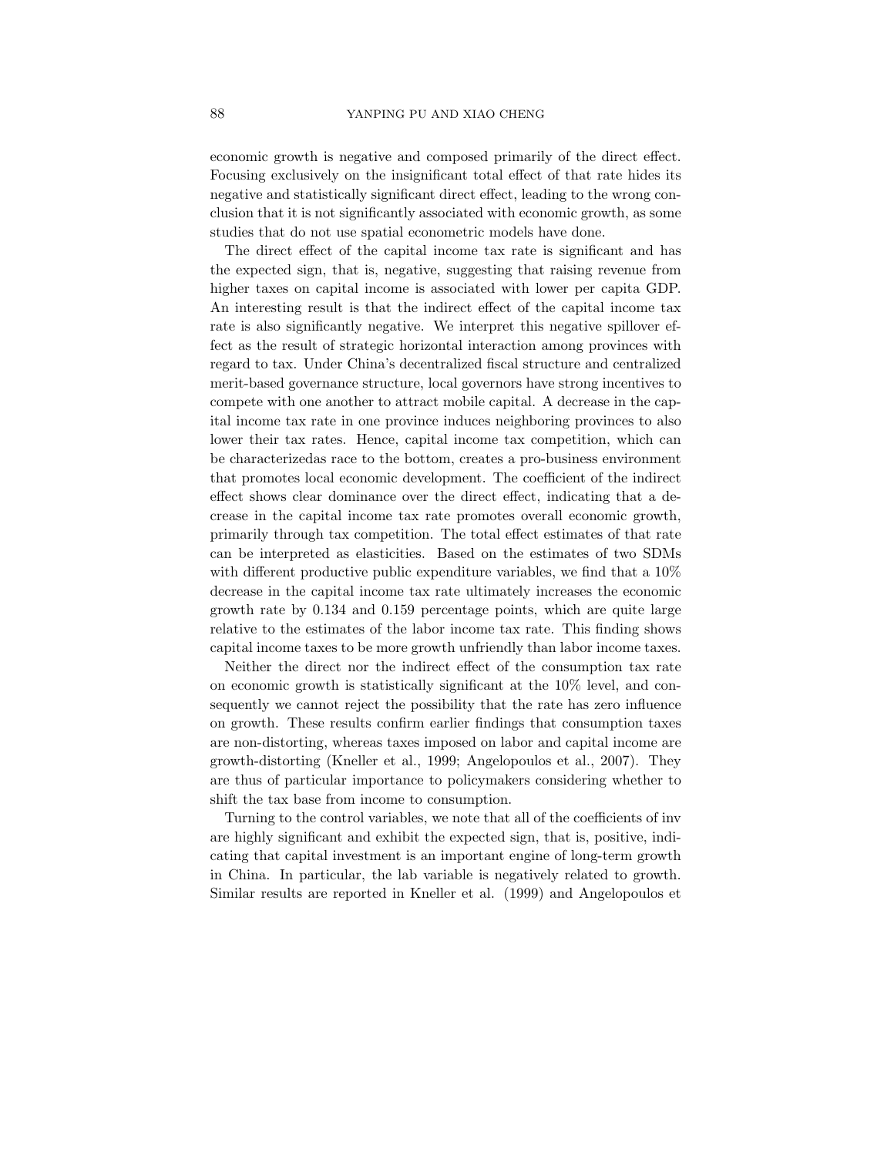economic growth is negative and composed primarily of the direct effect. Focusing exclusively on the insignificant total effect of that rate hides its negative and statistically significant direct effect, leading to the wrong conclusion that it is not significantly associated with economic growth, as some studies that do not use spatial econometric models have done.

The direct effect of the capital income tax rate is significant and has the expected sign, that is, negative, suggesting that raising revenue from higher taxes on capital income is associated with lower per capita GDP. An interesting result is that the indirect effect of the capital income tax rate is also significantly negative. We interpret this negative spillover effect as the result of strategic horizontal interaction among provinces with regard to tax. Under China's decentralized fiscal structure and centralized merit-based governance structure, local governors have strong incentives to compete with one another to attract mobile capital. A decrease in the capital income tax rate in one province induces neighboring provinces to also lower their tax rates. Hence, capital income tax competition, which can be characterizedas race to the bottom, creates a pro-business environment that promotes local economic development. The coefficient of the indirect effect shows clear dominance over the direct effect, indicating that a decrease in the capital income tax rate promotes overall economic growth, primarily through tax competition. The total effect estimates of that rate can be interpreted as elasticities. Based on the estimates of two SDMs with different productive public expenditure variables, we find that a  $10\%$ decrease in the capital income tax rate ultimately increases the economic growth rate by 0.134 and 0.159 percentage points, which are quite large relative to the estimates of the labor income tax rate. This finding shows capital income taxes to be more growth unfriendly than labor income taxes.

Neither the direct nor the indirect effect of the consumption tax rate on economic growth is statistically significant at the 10% level, and consequently we cannot reject the possibility that the rate has zero influence on growth. These results confirm earlier findings that consumption taxes are non-distorting, whereas taxes imposed on labor and capital income are growth-distorting (Kneller et al., 1999; Angelopoulos et al., 2007). They are thus of particular importance to policymakers considering whether to shift the tax base from income to consumption.

Turning to the control variables, we note that all of the coefficients of inv are highly significant and exhibit the expected sign, that is, positive, indicating that capital investment is an important engine of long-term growth in China. In particular, the lab variable is negatively related to growth. Similar results are reported in Kneller et al. (1999) and Angelopoulos et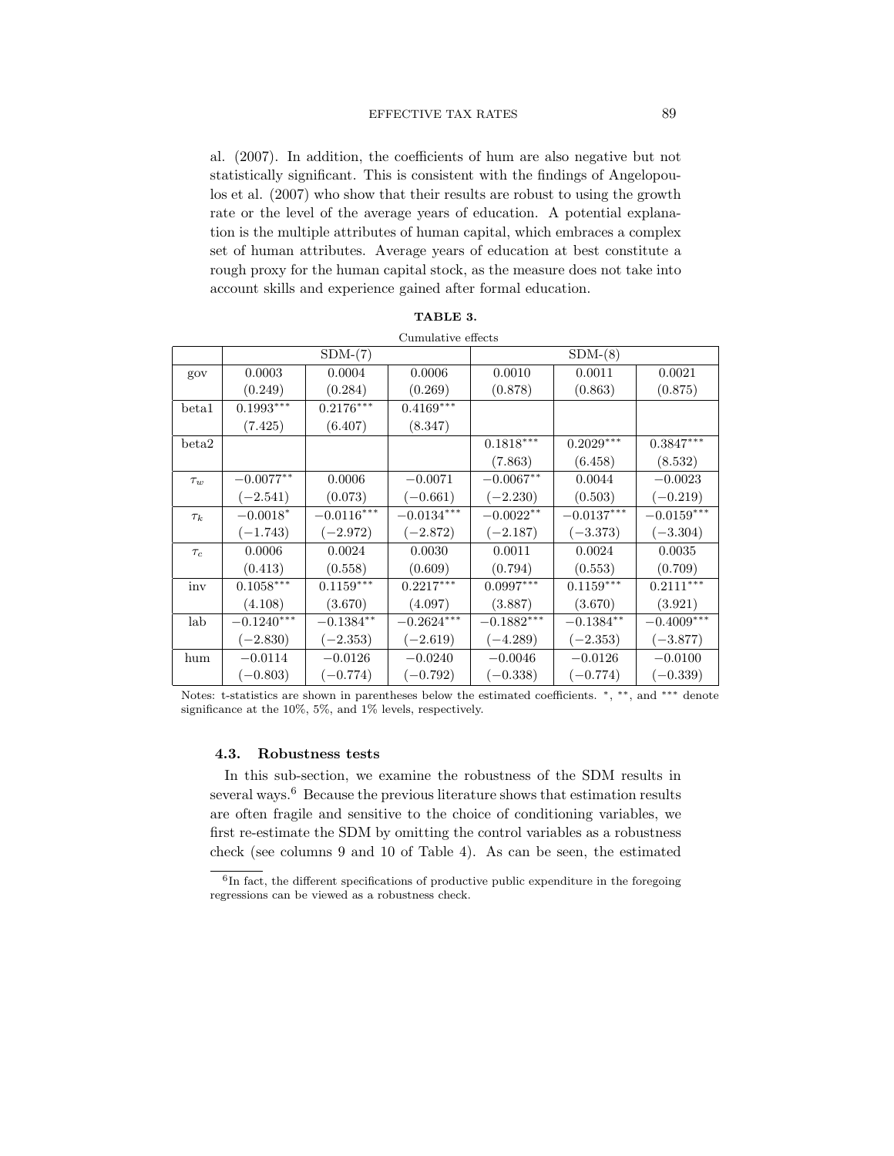al. (2007). In addition, the coefficients of hum are also negative but not statistically significant. This is consistent with the findings of Angelopoulos et al. (2007) who show that their results are robust to using the growth rate or the level of the average years of education. A potential explanation is the multiple attributes of human capital, which embraces a complex set of human attributes. Average years of education at best constitute a rough proxy for the human capital stock, as the measure does not take into account skills and experience gained after formal education.

|          |              |              | Cumulative effects |              |              |                         |
|----------|--------------|--------------|--------------------|--------------|--------------|-------------------------|
|          |              | $SDM-(7)$    |                    |              | $SDM-(8)$    |                         |
| gov      | 0.0003       | 0.0004       | 0.0006             | 0.0010       | 0.0011       | 0.0021                  |
|          | (0.249)      | (0.284)      | (0.269)            | (0.878)      | (0.863)      | (0.875)                 |
| beta1    | $0.1993***$  | $0.2176***$  | $0.4169***$        |              |              |                         |
|          | (7.425)      | (6.407)      | (8.347)            |              |              |                         |
| beta2    |              |              |                    | $0.1818***$  | $0.2029***$  | $0.3847^{\ast\ast\ast}$ |
|          |              |              |                    | (7.863)      | (6.458)      | (8.532)                 |
| $\tau_w$ | $-0.0077**$  | 0.0006       | $-0.0071$          | $-0.0067**$  | 0.0044       | $-0.0023$               |
|          | $(-2.541)$   | (0.073)      | $(-0.661)$         | $(-2.230)$   | (0.503)      | $(-0.219)$              |
| $\tau_k$ | $-0.0018*$   | $-0.0116***$ | $-0.0134***$       | $-0.0022**$  | $-0.0137***$ | $-0.0159***$            |
|          | $(-1.743)$   | $(-2.972)$   | $(-2.872)$         | $(-2.187)$   | $(-3.373)$   | $(-3.304)$              |
| $\tau_c$ | 0.0006       | 0.0024       | 0.0030             | 0.0011       | 0.0024       | 0.0035                  |
|          | (0.413)      | (0.558)      | (0.609)            | (0.794)      | (0.553)      | (0.709)                 |
| inv      | $0.1058***$  | $0.1159***$  | $0.2217***$        | $0.0997***$  | $0.1159***$  | $0.2111***$             |
|          | (4.108)      | (3.670)      | (4.097)            | (3.887)      | (3.670)      | (3.921)                 |
| lab      | $-0.1240***$ | $-0.1384**$  | $-0.2624***$       | $-0.1882***$ | $-0.1384**$  | $-0.4009***$            |
|          | $(-2.830)$   | $(-2.353)$   | $(-2.619)$         | $(-4.289)$   | $(-2.353)$   | $(-3.877)$              |
| hum      | $-0.0114$    | $-0.0126$    | $-0.0240$          | $-0.0046$    | $-0.0126$    | $-0.0100$               |
|          | $(-0.803)$   | $(-0.774)$   | $(-0.792)$         | $(-0.338)$   | $(-0.774)$   | $(-0.339)$              |

| TABLE 3.          |  |
|-------------------|--|
| rumulativa affact |  |

Notes: t-statistics are shown in parentheses below the estimated coefficients. \*, \*\*, and \*\*\* denote significance at the 10%, 5%, and 1% levels, respectively.

#### 4.3. Robustness tests

In this sub-section, we examine the robustness of the SDM results in several ways. $6$  Because the previous literature shows that estimation results are often fragile and sensitive to the choice of conditioning variables, we first re-estimate the SDM by omitting the control variables as a robustness check (see columns 9 and 10 of Table 4). As can be seen, the estimated

<sup>&</sup>lt;sup>6</sup>In fact, the different specifications of productive public expenditure in the foregoing regressions can be viewed as a robustness check.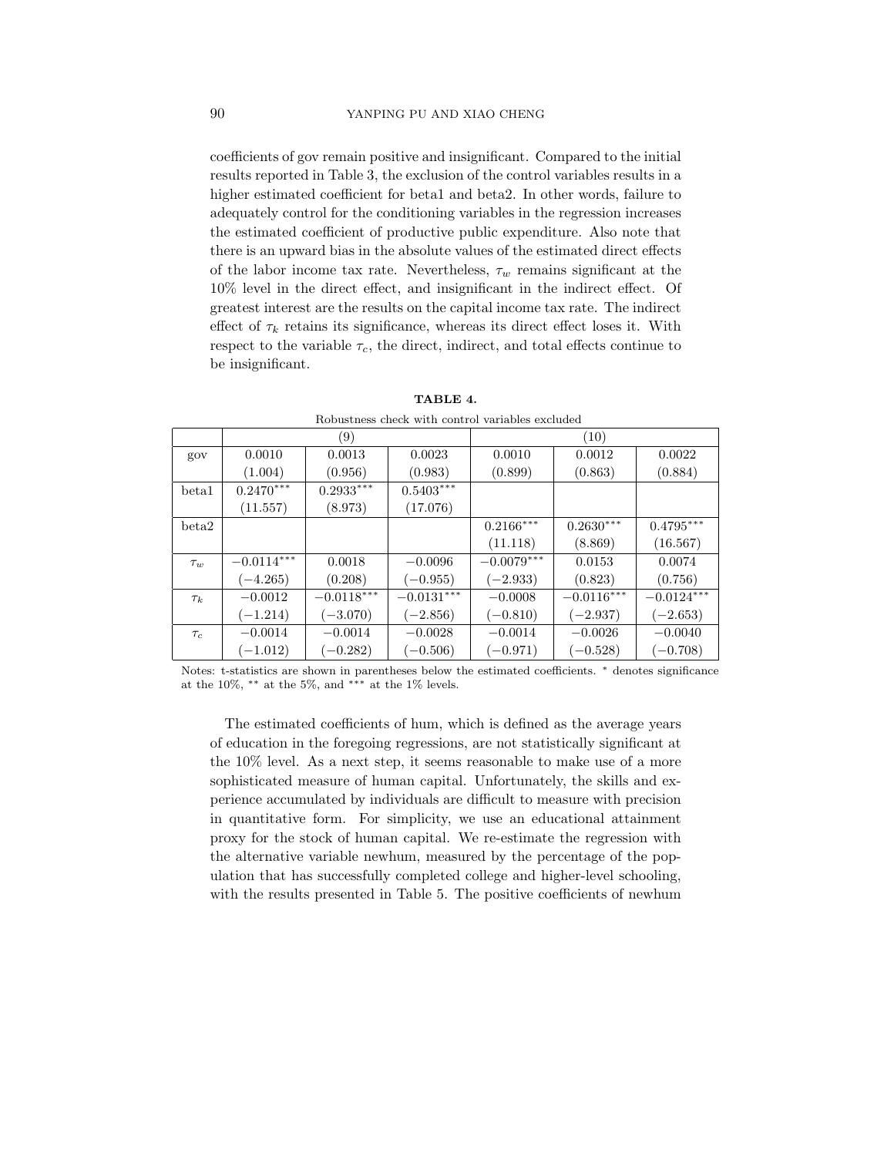coefficients of gov remain positive and insignificant. Compared to the initial results reported in Table 3, the exclusion of the control variables results in a higher estimated coefficient for beta1 and beta2. In other words, failure to adequately control for the conditioning variables in the regression increases the estimated coefficient of productive public expenditure. Also note that there is an upward bias in the absolute values of the estimated direct effects of the labor income tax rate. Nevertheless,  $\tau_w$  remains significant at the 10% level in the direct effect, and insignificant in the indirect effect. Of greatest interest are the results on the capital income tax rate. The indirect effect of  $\tau_k$  retains its significance, whereas its direct effect loses it. With respect to the variable  $\tau_c$ , the direct, indirect, and total effects continue to be insignificant.

|          | Robustness check with control variables excluded |              |              |              |              |              |  |  |  |  |  |  |
|----------|--------------------------------------------------|--------------|--------------|--------------|--------------|--------------|--|--|--|--|--|--|
|          |                                                  | (9)          |              | (10)         |              |              |  |  |  |  |  |  |
| gov      | 0.0010                                           | 0.0013       | 0.0023       | 0.0010       | 0.0012       | 0.0022       |  |  |  |  |  |  |
|          | (1.004)                                          | (0.956)      | (0.983)      | (0.899)      | (0.863)      | (0.884)      |  |  |  |  |  |  |
| beta1    | $0.2470***$                                      | $0.2933***$  | $0.5403***$  |              |              |              |  |  |  |  |  |  |
|          | (11.557)                                         | (8.973)      | (17.076)     |              |              |              |  |  |  |  |  |  |
| beta2    |                                                  |              |              | $0.2166***$  | $0.2630***$  | $0.4795***$  |  |  |  |  |  |  |
|          |                                                  |              |              | (11.118)     | (8.869)      | (16.567)     |  |  |  |  |  |  |
| $\tau_w$ | $-0.0114***$                                     | 0.0018       | $-0.0096$    | $-0.0079***$ | 0.0153       | 0.0074       |  |  |  |  |  |  |
|          | $(-4.265)$                                       | (0.208)      | $(-0.955)$   | $(-2.933)$   | (0.823)      | (0.756)      |  |  |  |  |  |  |
| $\tau_k$ | $-0.0012$                                        | $-0.0118***$ | $-0.0131***$ | $-0.0008$    | $-0.0116***$ | $-0.0124***$ |  |  |  |  |  |  |
|          | $(-1.214)$                                       | $(-3.070)$   | $(-2.856)$   | $(-0.810)$   | $(-2.937)$   | $(-2.653)$   |  |  |  |  |  |  |
| $\tau_c$ | $-0.0014$                                        | $-0.0014$    | $-0.0028$    | $-0.0014$    | $-0.0026$    | $-0.0040$    |  |  |  |  |  |  |
|          | $(-1.012)$                                       | $(-0.282)$   | $(-0.506)$   | $(-0.971)$   | $(-0.528)$   | $(-0.708)$   |  |  |  |  |  |  |

TABLE 4.

Notes: t-statistics are shown in parentheses below the estimated coefficients. <sup>∗</sup> denotes significance at the 10%,  $**$  at the 5%, and  $**$  at the 1% levels.

The estimated coefficients of hum, which is defined as the average years of education in the foregoing regressions, are not statistically significant at the 10% level. As a next step, it seems reasonable to make use of a more sophisticated measure of human capital. Unfortunately, the skills and experience accumulated by individuals are difficult to measure with precision in quantitative form. For simplicity, we use an educational attainment proxy for the stock of human capital. We re-estimate the regression with the alternative variable newhum, measured by the percentage of the population that has successfully completed college and higher-level schooling, with the results presented in Table 5. The positive coefficients of newhum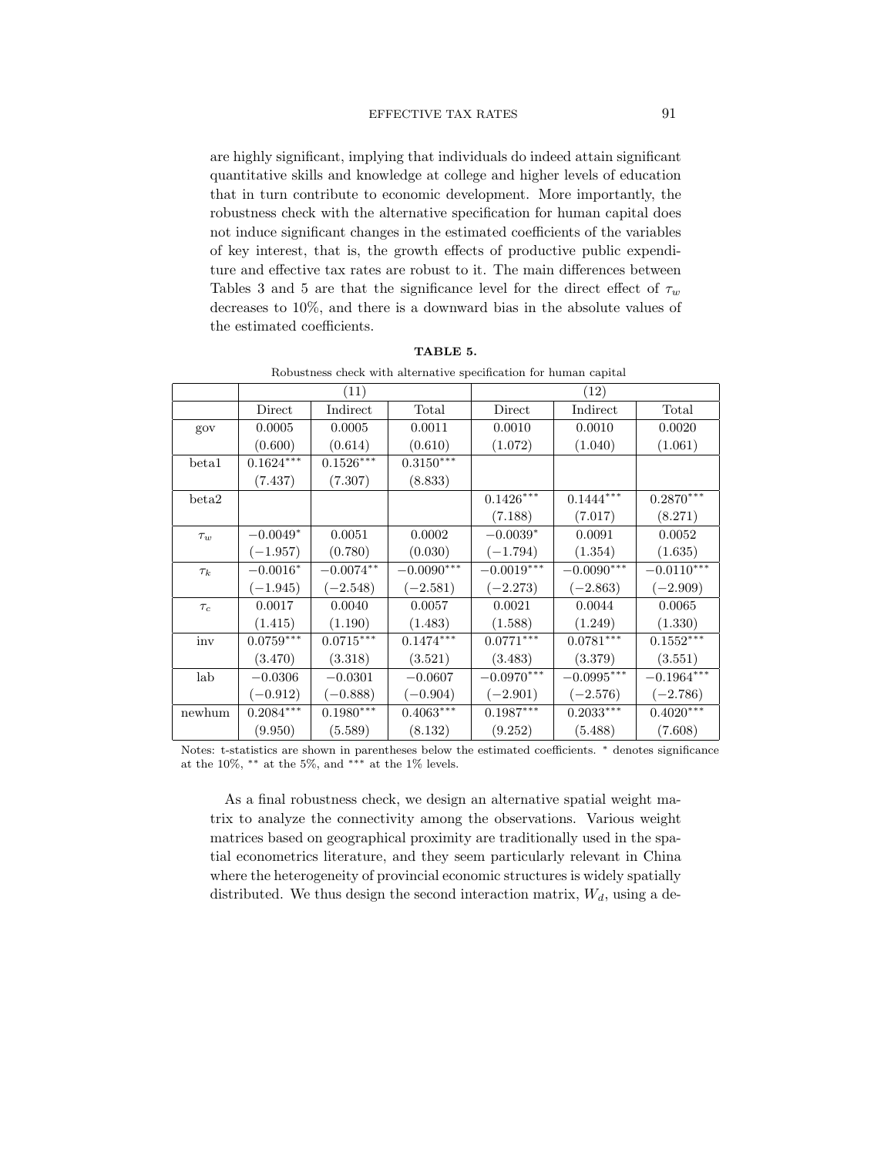are highly significant, implying that individuals do indeed attain significant quantitative skills and knowledge at college and higher levels of education that in turn contribute to economic development. More importantly, the robustness check with the alternative specification for human capital does not induce significant changes in the estimated coefficients of the variables of key interest, that is, the growth effects of productive public expenditure and effective tax rates are robust to it. The main differences between Tables 3 and 5 are that the significance level for the direct effect of  $\tau_w$ decreases to 10%, and there is a downward bias in the absolute values of the estimated coefficients.

|          | Robustness check with alternative specification for human capital |                         |              |                          |                          |                  |  |  |  |  |  |  |
|----------|-------------------------------------------------------------------|-------------------------|--------------|--------------------------|--------------------------|------------------|--|--|--|--|--|--|
|          |                                                                   | (11)                    |              |                          | (12)                     |                  |  |  |  |  |  |  |
|          | Direct                                                            | Indirect                | Total        | Direct                   | Indirect                 | Total            |  |  |  |  |  |  |
| gov      | 0.0005                                                            | 0.0005                  | 0.0011       | 0.0010                   | 0.0010                   | 0.0020           |  |  |  |  |  |  |
|          | (0.600)                                                           | (0.614)                 | (0.610)      | (1.072)                  | (1.040)                  | (1.061)          |  |  |  |  |  |  |
| beta1    | $0.1624***$                                                       | $0.1526***$             | $0.3150***$  |                          |                          |                  |  |  |  |  |  |  |
|          | (7.437)                                                           | (7.307)                 | (8.833)      |                          |                          |                  |  |  |  |  |  |  |
| beta2    |                                                                   |                         |              | $0.1426***$              | $0.1444***$              | $0.2870***$      |  |  |  |  |  |  |
|          |                                                                   |                         |              | (7.188)                  | (7.017)                  | (8.271)          |  |  |  |  |  |  |
| $\tau_w$ | $-0.0049*$                                                        | 0.0051                  | 0.0002       | $-0.0039*$               | 0.0091                   | 0.0052           |  |  |  |  |  |  |
|          | $(-1.957)$                                                        | (0.780)                 | (0.030)      | $(-1.794)$               | (1.354)                  | (1.635)          |  |  |  |  |  |  |
| $\tau_k$ | $-0.0016*$                                                        | $-0.0074**$             | $-0.0090***$ | $-0.0019***$             | $-0.0090***$             | $-0.0110***$     |  |  |  |  |  |  |
|          | $(-1.945)$                                                        | $(-2.548)$              | $(-2.581)$   | $(-2.273)$               | $(-2.863)$               | $(-2.909)$       |  |  |  |  |  |  |
| $\tau_c$ | 0.0017                                                            | 0.0040                  | 0.0057       | 0.0021                   | 0.0044                   | 0.0065           |  |  |  |  |  |  |
|          | (1.415)                                                           | (1.190)                 | (1.483)      | (1.588)                  | (1.249)                  | (1.330)          |  |  |  |  |  |  |
| inv      | $0.0759***$                                                       | $0.0715^{\ast\ast\ast}$ | $0.1474***$  | $0.0771***$              | $0.0781***$              | $0.1552***$      |  |  |  |  |  |  |
|          | (3.470)                                                           | (3.318)                 | (3.521)      | (3.483)                  | (3.379)                  | (3.551)          |  |  |  |  |  |  |
| lab      | $-0.0306$                                                         | $-0.0301$               | $-0.0607$    | $-0.0970^{\ast\ast\ast}$ | $-0.0995^{\ast\ast\ast}$ | $-0.1964***$     |  |  |  |  |  |  |
|          | $(-0.912)$                                                        | $(-0.888)$              | $(-0.904)$   | $(-2.901)$               | $(-2.576)$               | $(-2.786)$       |  |  |  |  |  |  |
| newhum   | $0.2084***$                                                       | $0.1980***$             | $0.4063***$  | $0.1987***$              | $0.2033***$              | $0.4020^{***}\,$ |  |  |  |  |  |  |
|          | (9.950)                                                           | (5.589)                 | (8.132)      | (9.252)                  | (5.488)                  | (7.608)          |  |  |  |  |  |  |

TABLE 5.

Robustness check with alternative specification for human capital

Notes: t-statistics are shown in parentheses below the estimated coefficients. <sup>∗</sup> denotes significance at the 10%,  $^{**}$  at the 5%, and  $^{***}$  at the 1% levels.

As a final robustness check, we design an alternative spatial weight matrix to analyze the connectivity among the observations. Various weight matrices based on geographical proximity are traditionally used in the spatial econometrics literature, and they seem particularly relevant in China where the heterogeneity of provincial economic structures is widely spatially distributed. We thus design the second interaction matrix,  $W_d$ , using a de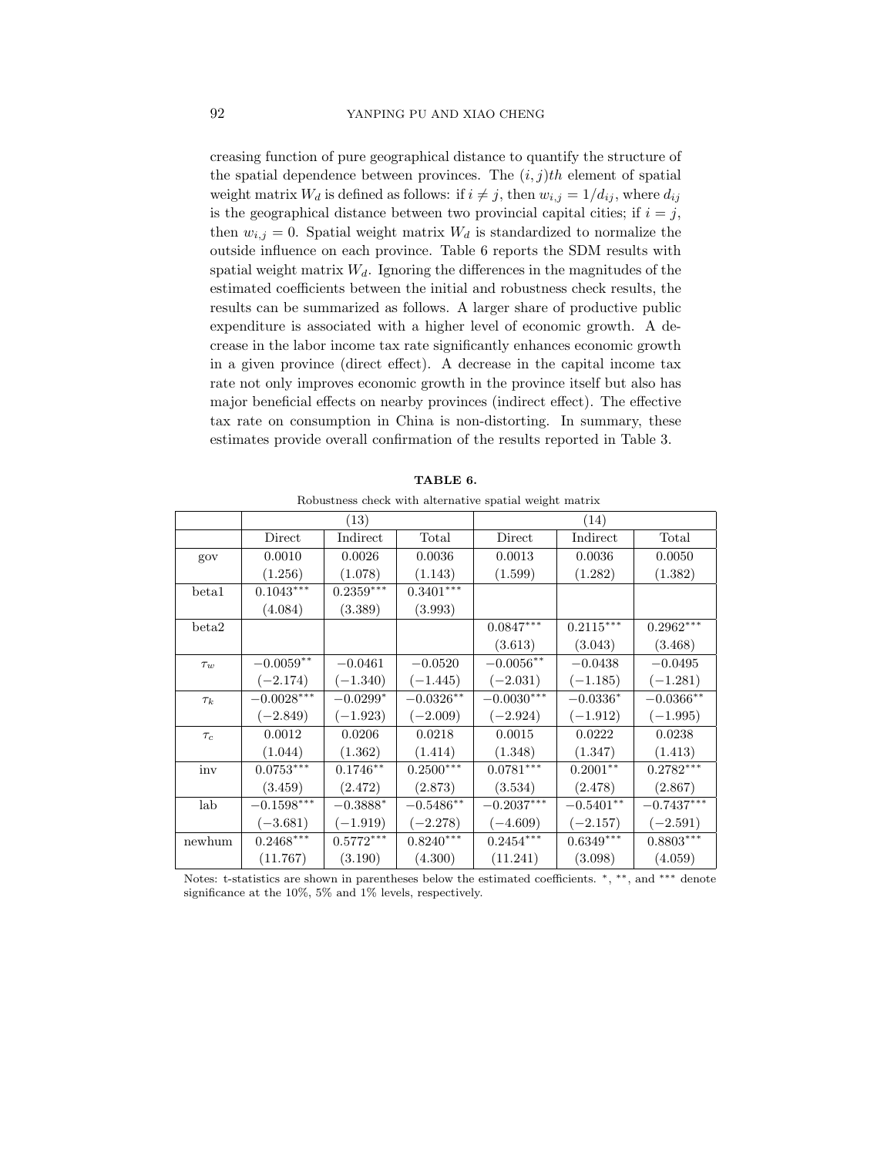creasing function of pure geographical distance to quantify the structure of the spatial dependence between provinces. The  $(i, j)$ th element of spatial weight matrix  $W_d$  is defined as follows: if  $i \neq j$ , then  $w_{i,j} = 1/d_{ij}$ , where  $d_{ij}$ is the geographical distance between two provincial capital cities; if  $i = j$ , then  $w_{i,j} = 0$ . Spatial weight matrix  $W_d$  is standardized to normalize the outside influence on each province. Table 6 reports the SDM results with spatial weight matrix  $W_d$ . Ignoring the differences in the magnitudes of the estimated coefficients between the initial and robustness check results, the results can be summarized as follows. A larger share of productive public expenditure is associated with a higher level of economic growth. A decrease in the labor income tax rate significantly enhances economic growth in a given province (direct effect). A decrease in the capital income tax rate not only improves economic growth in the province itself but also has major beneficial effects on nearby provinces (indirect effect). The effective tax rate on consumption in China is non-distorting. In summary, these estimates provide overall confirmation of the results reported in Table 3.

|          |              | (13)        |                         |              | (14)        |              |
|----------|--------------|-------------|-------------------------|--------------|-------------|--------------|
|          | Direct       | Indirect    | Total                   | Direct       | Indirect    | Total        |
| gov      | 0.0010       | 0.0026      | 0.0036                  | 0.0013       | 0.0036      | 0.0050       |
|          | (1.256)      | (1.078)     | (1.143)                 | (1.599)      | (1.282)     | (1.382)      |
| beta1    | $0.1043***$  | $0.2359***$ | $0.3401^{\ast\ast\ast}$ |              |             |              |
|          | (4.084)      | (3.389)     | (3.993)                 |              |             |              |
| beta2    |              |             |                         | $0.0847***$  | $0.2115***$ | $0.2962***$  |
|          |              |             |                         | (3.613)      | (3.043)     | (3.468)      |
| $\tau_w$ | $-0.0059**$  | $-0.0461$   | $-0.0520$               | $-0.0056**$  | $-0.0438$   | $-0.0495$    |
|          | $(-2.174)$   | $(-1.340)$  | $(-1.445)$              | $(-2.031)$   | $(-1.185)$  | $(-1.281)$   |
| $\tau_k$ | $-0.0028***$ | $-0.0299*$  | $-0.0326**$             | $-0.0030***$ | $-0.0336*$  | $-0.0366$ ** |
|          | $(-2.849)$   | $(-1.923)$  | $(-2.009)$              | $(-2.924)$   | $(-1.912)$  | $(-1.995)$   |
| $\tau_c$ | 0.0012       | 0.0206      | 0.0218                  | 0.0015       | 0.0222      | 0.0238       |
|          | (1.044)      | (1.362)     | (1.414)                 | (1.348)      | (1.347)     | (1.413)      |
| inv      | $0.0753***$  | $0.1746**$  | $0.2500***$             | $0.0781***$  | $0.2001**$  | $0.2782***$  |
|          | (3.459)      | (2.472)     | (2.873)                 | (3.534)      | (2.478)     | (2.867)      |
| lab      | $-0.1598***$ | $-0.3888^*$ | $-0.5486^{\ast\ast}$    | $-0.2037***$ | $-0.5401**$ | $-0.7437***$ |
|          | $(-3.681)$   | $(-1.919)$  | $(-2.278)$              | $(-4.609)$   | $(-2.157)$  | $(-2.591)$   |
| newhum   | $0.2468***$  | $0.5772***$ | $0.8240***$             | $0.2454***$  | $0.6349***$ | $0.8803***$  |
|          | (11.767)     | (3.190)     | (4.300)                 | (11.241)     | (3.098)     | (4.059)      |

TABLE 6.

Robustness check with alternative spatial weight matrix

Notes: t-statistics are shown in parentheses below the estimated coefficients. <sup>∗</sup>, ∗∗, and ∗∗∗ denote significance at the 10%, 5% and 1% levels, respectively.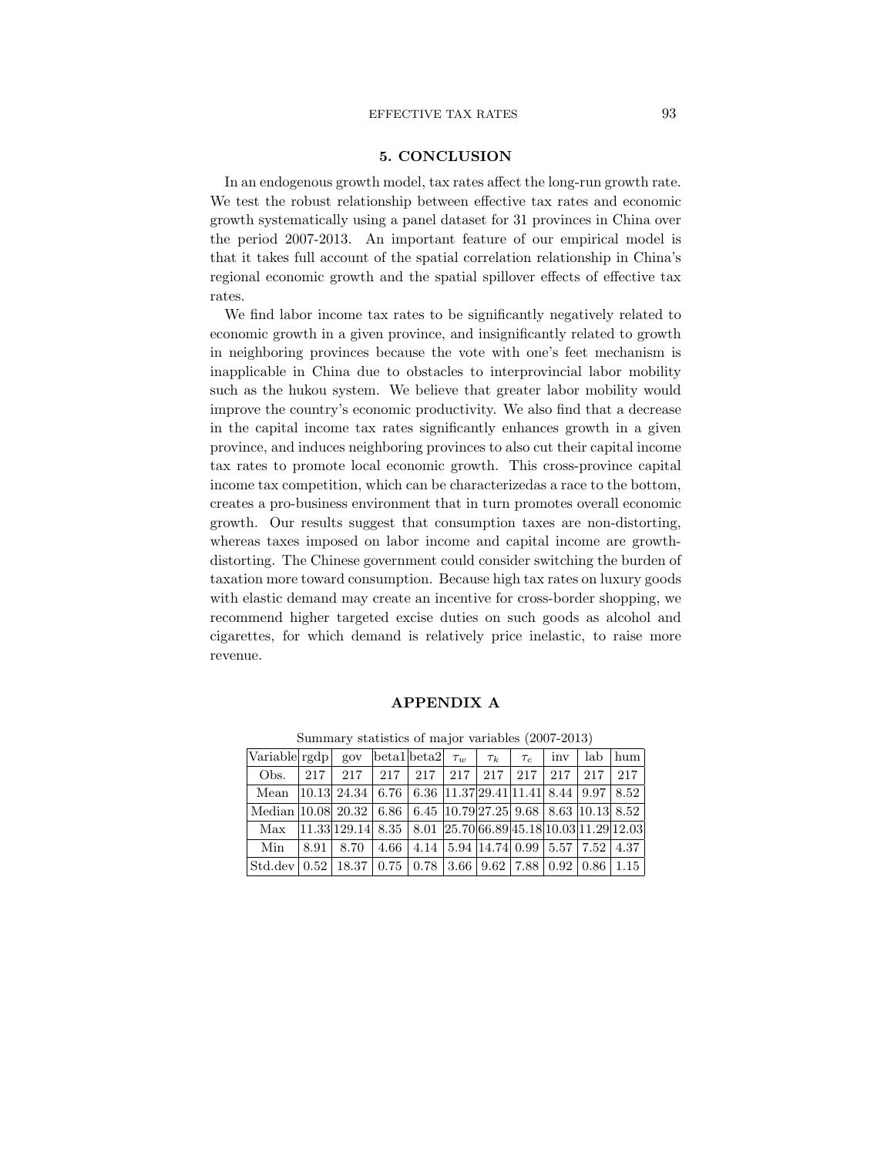### EFFECTIVE TAX RATES 93

## 5. CONCLUSION

In an endogenous growth model, tax rates affect the long-run growth rate. We test the robust relationship between effective tax rates and economic growth systematically using a panel dataset for 31 provinces in China over the period 2007-2013. An important feature of our empirical model is that it takes full account of the spatial correlation relationship in China's regional economic growth and the spatial spillover effects of effective tax rates.

We find labor income tax rates to be significantly negatively related to economic growth in a given province, and insignificantly related to growth in neighboring provinces because the vote with one's feet mechanism is inapplicable in China due to obstacles to interprovincial labor mobility such as the hukou system. We believe that greater labor mobility would improve the country's economic productivity. We also find that a decrease in the capital income tax rates significantly enhances growth in a given province, and induces neighboring provinces to also cut their capital income tax rates to promote local economic growth. This cross-province capital income tax competition, which can be characterizedas a race to the bottom, creates a pro-business environment that in turn promotes overall economic growth. Our results suggest that consumption taxes are non-distorting, whereas taxes imposed on labor income and capital income are growthdistorting. The Chinese government could consider switching the burden of taxation more toward consumption. Because high tax rates on luxury goods with elastic demand may create an incentive for cross-border shopping, we recommend higher targeted excise duties on such goods as alcohol and cigarettes, for which demand is relatively price inelastic, to raise more revenue.

#### APPENDIX A

| Variable rgdp   gov   beta1   beta2 $\tau_w$   $\tau_k$   $\tau_c$   inv   lab   hum                                                               |                                                                                                                        |  |  |  |  |
|----------------------------------------------------------------------------------------------------------------------------------------------------|------------------------------------------------------------------------------------------------------------------------|--|--|--|--|
|                                                                                                                                                    | Obs. 217   217   217   217   217   217   217   217   217   217   217                                                   |  |  |  |  |
| Mean   10.13   24.34   6.76   6.36   11.37   29.41   11.41   8.44   9.97   8.52                                                                    |                                                                                                                        |  |  |  |  |
| Median   10.08   20.32   6.86   6.45   10.79   27.25   9.68   8.63   10.13   8.52                                                                  |                                                                                                                        |  |  |  |  |
|                                                                                                                                                    | Max   $ 11.33 129.14 $ 8.35   8.01   $ 25.70 66.89 45.18 10.03 11.29 12.03$                                            |  |  |  |  |
| Min                                                                                                                                                | $\vert 8.91 \vert 8.70 \vert 4.66 \vert 4.14 \vert 5.94 \vert 14.74 \vert 0.99 \vert 5.57 \vert 7.52 \vert 4.37 \vert$ |  |  |  |  |
| $\vert$ Std.dev $\vert$ 0.52 $\vert$ 18.37 $\vert$ 0.75 $\vert$ 0.78 $\vert$ 3.66 $\vert$ 9.62 $\vert$ 7.88 $\vert$ 0.92 $\vert$ 0.86 $\vert$ 1.15 |                                                                                                                        |  |  |  |  |

Summary statistics of major variables (2007-2013)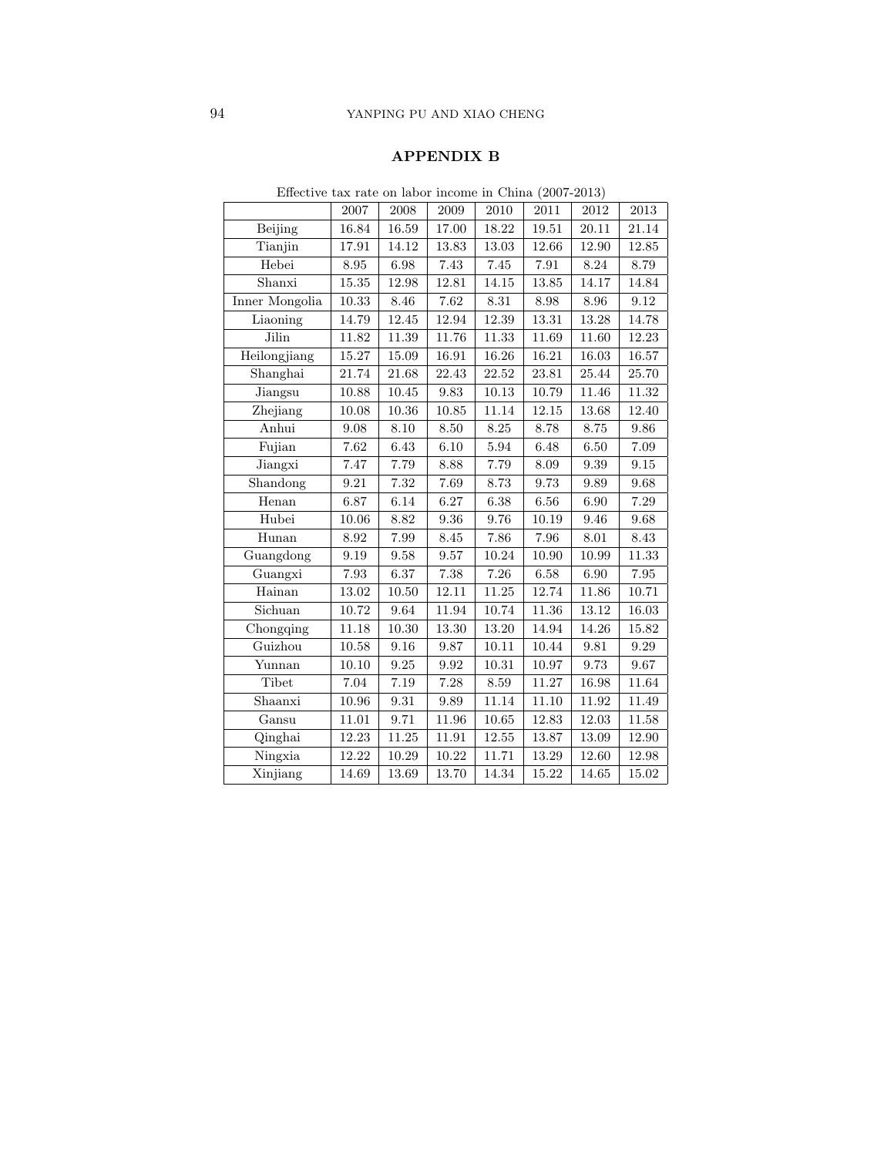## APPENDIX B

|                            | 2007        | 2008        | 2009      | 2010     | 2011     | $\>2012$ | 2013        |  |  |  |
|----------------------------|-------------|-------------|-----------|----------|----------|----------|-------------|--|--|--|
| Beijing                    | 16.84       | $16.59\,$   | 17.00     | 18.22    | 19.51    | 20.11    | 21.14       |  |  |  |
| Tianjin                    | 17.91       | 14.12       | 13.83     | 13.03    | 12.66    | 12.90    | 12.85       |  |  |  |
| Hebei                      | $8.95\,$    | $6.98\,$    | 7.43      | $7.45\,$ | $7.91\,$ | $8.24\,$ | 8.79        |  |  |  |
| Shanxi                     | 15.35       | 12.98       | 12.81     | 14.15    | 13.85    | 14.17    | 14.84       |  |  |  |
| Inner Mongolia             | 10.33       | 8.46        | 7.62      | $8.31\,$ | $8.98\,$ | 8.96     | $\,9.12$    |  |  |  |
| Liaoning                   | 14.79       | 12.45       | 12.94     | 12.39    | 13.31    | 13.28    | 14.78       |  |  |  |
| Jilin                      | 11.82       | 11.39       | 11.76     | 11.33    | 11.69    | 11.60    | 12.23       |  |  |  |
| Heilongjiang               | 15.27       | 15.09       | $16.91\,$ | 16.26    | 16.21    | 16.03    | 16.57       |  |  |  |
| Shanghai                   | 21.74       | $21.68\,$   | 22.43     | 22.52    | 23.81    | 25.44    | 25.70       |  |  |  |
| Jiangsu                    | 10.88       | 10.45       | 9.83      | 10.13    | 10.79    | 11.46    | 11.32       |  |  |  |
| Zhejiang                   | 10.08       | 10.36       | 10.85     | 11.14    | 12.15    | 13.68    | 12.40       |  |  |  |
| Anhui                      | $\ \, 9.08$ | $8.10\,$    | $8.50\,$  | $8.25\,$ | $8.78\,$ | 8.75     | $\,9.86\,$  |  |  |  |
| Fujian                     | 7.62        | 6.43        | 6.10      | $5.94\,$ | 6.48     | 6.50     | 7.09        |  |  |  |
| Jiangxi                    | 7.47        | 7.79        | 8.88      | 7.79     | $8.09\,$ | $\,9.39$ | $\ \, 9.15$ |  |  |  |
| Shandong                   | $\ \, 9.21$ | $7.32\,$    | 7.69      | 8.73     | $9.73\,$ | 9.89     | 9.68        |  |  |  |
| Henan                      | 6.87        | 6.14        | 6.27      | 6.38     | 6.56     | 6.90     | 7.29        |  |  |  |
| Hubei                      | 10.06       | 8.82        | 9.36      | 9.76     | 10.19    | 9.46     | 9.68        |  |  |  |
| Hunan                      | $8.92\,$    | 7.99        | $8.45\,$  | 7.86     | 7.96     | $8.01\,$ | $8.43\,$    |  |  |  |
| Guangdong                  | $\,9.19$    | $\ \, 9.58$ | $\,9.57$  | 10.24    | 10.90    | 10.99    | 11.33       |  |  |  |
| Guangxi                    | 7.93        | 6.37        | $7.38\,$  | 7.26     | $6.58\,$ | $6.90\,$ | 7.95        |  |  |  |
| Hainan                     | 13.02       | 10.50       | 12.11     | 11.25    | 12.74    | 11.86    | 10.71       |  |  |  |
| Sichuan                    | 10.72       | 9.64        | 11.94     | 10.74    | 11.36    | 13.12    | 16.03       |  |  |  |
| $\overline{\rm Chongging}$ | 11.18       | 10.30       | 13.30     | 13.20    | 14.94    | 14.26    | 15.82       |  |  |  |
| Guizhou                    | 10.58       | 9.16        | 9.87      | 10.11    | 10.44    | $\,9.81$ | $\,9.29$    |  |  |  |
| Yunnan                     | 10.10       | $\ \, 9.25$ | 9.92      | 10.31    | 10.97    | 9.73     | 9.67        |  |  |  |
| Tibet                      | 7.04        | 7.19        | 7.28      | $8.59\,$ | 11.27    | 16.98    | 11.64       |  |  |  |
| Shaanxi                    | 10.96       | $\,9.31$    | 9.89      | 11.14    | 11.10    | 11.92    | 11.49       |  |  |  |
| Gansu                      | 11.01       | 9.71        | $11.96\,$ | 10.65    | 12.83    | 12.03    | 11.58       |  |  |  |
| Qinghai                    | 12.23       | 11.25       | 11.91     | 12.55    | 13.87    | 13.09    | 12.90       |  |  |  |
| Ningxia                    | 12.22       | 10.29       | 10.22     | 11.71    | 13.29    | 12.60    | 12.98       |  |  |  |
| Xinjiang                   | 14.69       | 13.69       | 13.70     | 14.34    | 15.22    | 14.65    | 15.02       |  |  |  |

Effective tax rate on labor income in China (2007-2013)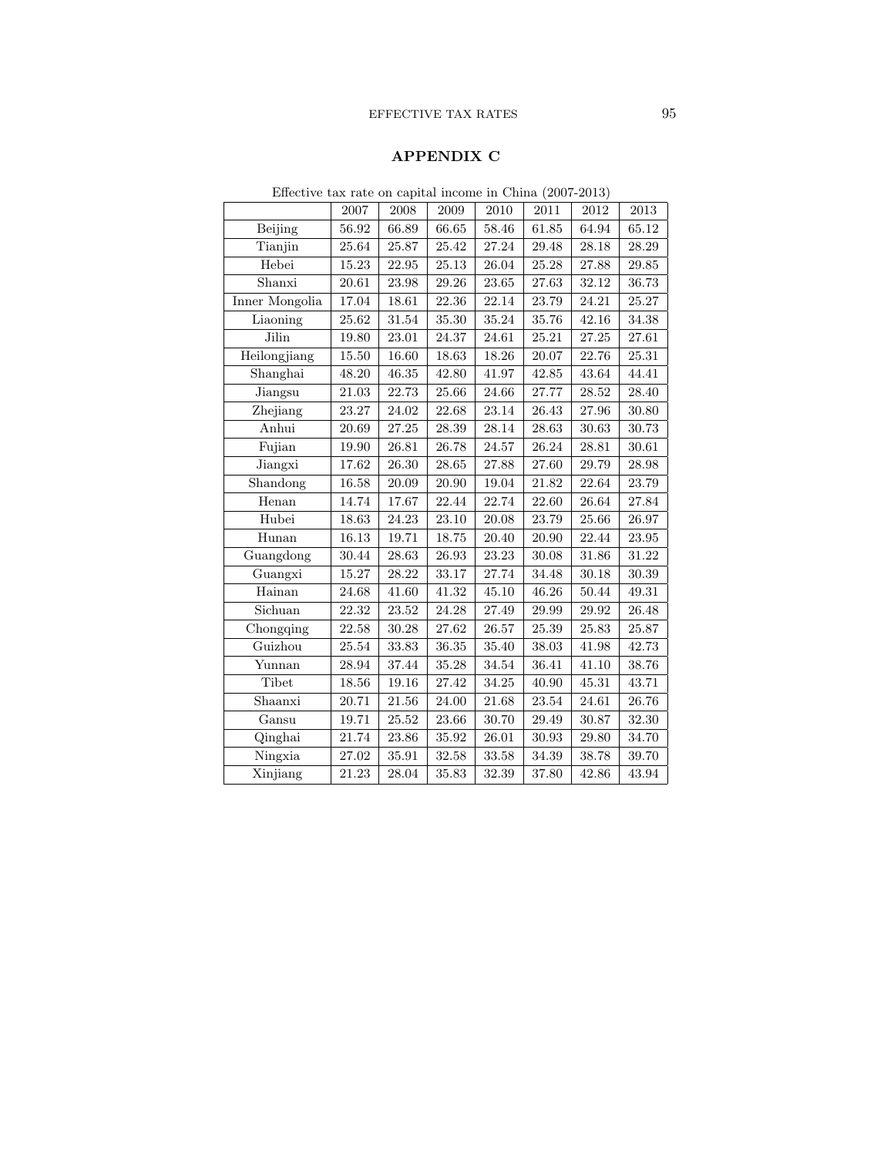## EFFECTIVE TAX RATES 95

## APPENDIX C

| $Eilective$ tax rate on capital income in Unina (2007-2015) |           |           |           |           |           |           |           |  |  |  |
|-------------------------------------------------------------|-----------|-----------|-----------|-----------|-----------|-----------|-----------|--|--|--|
|                                                             | 2007      | 2008      | 2009      | 2010      | 2011      | 2012      | 2013      |  |  |  |
| Beijing                                                     | 56.92     | 66.89     | 66.65     | 58.46     | 61.85     | 64.94     | 65.12     |  |  |  |
| Tianjin                                                     | $25.64\,$ | 25.87     | $25.42\,$ | 27.24     | $29.48\,$ | 28.18     | 28.29     |  |  |  |
| Hebei                                                       | 15.23     | 22.95     | 25.13     | 26.04     | $25.28\,$ | 27.88     | 29.85     |  |  |  |
| Shanxi                                                      | $20.61\,$ | $23.98\,$ | 29.26     | 23.65     | 27.63     | 32.12     | 36.73     |  |  |  |
| Inner Mongolia                                              | 17.04     | 18.61     | 22.36     | 22.14     | 23.79     | 24.21     | 25.27     |  |  |  |
| Liaoning                                                    | 25.62     | 31.54     | 35.30     | 35.24     | 35.76     | 42.16     | 34.38     |  |  |  |
| Jilin                                                       | 19.80     | $23.01\,$ | 24.37     | 24.61     | 25.21     | 27.25     | $27.61\,$ |  |  |  |
| Heilongjiang                                                | $15.50\,$ | 16.60     | 18.63     | 18.26     | 20.07     | 22.76     | 25.31     |  |  |  |
| Shanghai                                                    | 48.20     | 46.35     | 42.80     | 41.97     | 42.85     | 43.64     | 44.41     |  |  |  |
| Jiangsu                                                     | 21.03     | 22.73     | 25.66     | 24.66     | 27.77     | 28.52     | 28.40     |  |  |  |
| Zhejiang                                                    | $23.27\,$ | 24.02     | $22.68\,$ | $23.14\,$ | 26.43     | $27.96\,$ | 30.80     |  |  |  |
| Anhui                                                       | 20.69     | $27.25\,$ | 28.39     | 28.14     | 28.63     | 30.63     | 30.73     |  |  |  |
| Fujian                                                      | 19.90     | 26.81     | 26.78     | 24.57     | 26.24     | 28.81     | 30.61     |  |  |  |
| Jiangxi                                                     | 17.62     | 26.30     | 28.65     | 27.88     | 27.60     | 29.79     | 28.98     |  |  |  |
| Shandong                                                    | $16.58\,$ | 20.09     | 20.90     | 19.04     | 21.82     | 22.64     | 23.79     |  |  |  |
| Henan                                                       | 14.74     | 17.67     | 22.44     | 22.74     | 22.60     | 26.64     | 27.84     |  |  |  |
| Hubei                                                       | 18.63     | 24.23     | 23.10     | 20.08     | 23.79     | 25.66     | 26.97     |  |  |  |
| Hunan                                                       | 16.13     | 19.71     | 18.75     | 20.40     | $20.90\,$ | 22.44     | 23.95     |  |  |  |
| Guangdong                                                   | 30.44     | 28.63     | 26.93     | 23.23     | 30.08     | 31.86     | 31.22     |  |  |  |
| Guangxi                                                     | 15.27     | 28.22     | 33.17     | 27.74     | 34.48     | 30.18     | 30.39     |  |  |  |
| Hainan                                                      | 24.68     | 41.60     | 41.32     | 45.10     | 46.26     | 50.44     | 49.31     |  |  |  |
| Sichuan                                                     | 22.32     | 23.52     | 24.28     | 27.49     | 29.99     | 29.92     | 26.48     |  |  |  |
| Chongqing                                                   | $22.58\,$ | 30.28     | 27.62     | 26.57     | 25.39     | 25.83     | 25.87     |  |  |  |
| Guizhou                                                     | $25.54\,$ | 33.83     | 36.35     | 35.40     | 38.03     | 41.98     | 42.73     |  |  |  |
| Yunnan                                                      | 28.94     | 37.44     | 35.28     | 34.54     | 36.41     | 41.10     | 38.76     |  |  |  |
| Tibet                                                       | 18.56     | 19.16     | 27.42     | 34.25     | 40.90     | 45.31     | 43.71     |  |  |  |
| Shaanxi                                                     | $20.71\,$ | $21.56\,$ | 24.00     | $21.68\,$ | 23.54     | 24.61     | 26.76     |  |  |  |
| Gansu                                                       | 19.71     | 25.52     | 23.66     | 30.70     | 29.49     | 30.87     | 32.30     |  |  |  |
| Qinghai                                                     | 21.74     | 23.86     | 35.92     | 26.01     | 30.93     | 29.80     | 34.70     |  |  |  |
| Ningxia                                                     | 27.02     | 35.91     | 32.58     | 33.58     | 34.39     | 38.78     | 39.70     |  |  |  |
| Xinjiang                                                    | 21.23     | 28.04     | 35.83     | 32.39     | 37.80     | 42.86     | 43.94     |  |  |  |

Effective tax rate on capital income in China (2007-2013)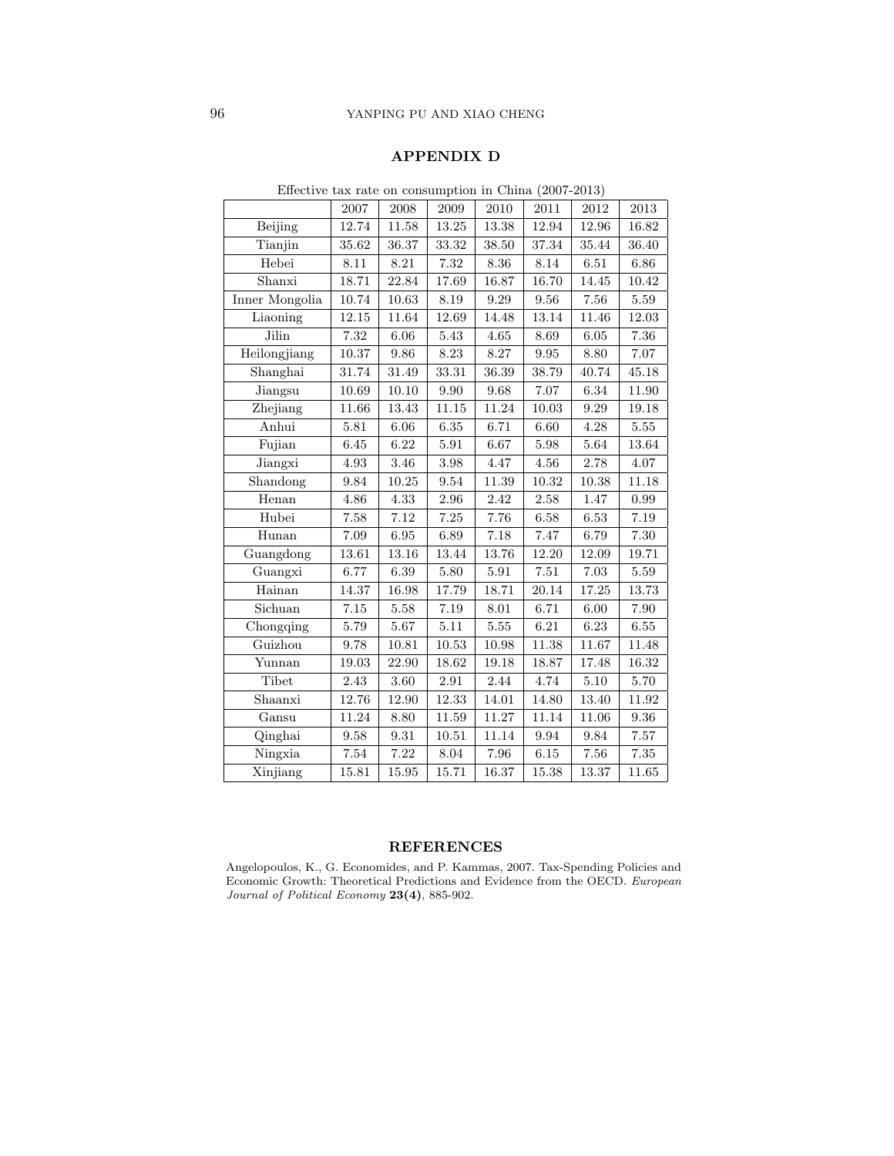## APPENDIX D

|                |             |           |                   |           | .        |          |          |
|----------------|-------------|-----------|-------------------|-----------|----------|----------|----------|
|                | 2007        | 2008      | 2009              | 2010      | 2011     | $\>2012$ | 2013     |
| Beijing        | 12.74       | 11.58     | 13.25             | 13.38     | 12.94    | 12.96    | 16.82    |
| Tianjin        | 35.62       | 36.37     | 33.32             | 38.50     | 37.34    | 35.44    | 36.40    |
| Hebei          | 8.11        | 8.21      | 7.32              | 8.36      | 8.14     | $6.51\,$ | 6.86     |
| Shanxi         | 18.71       | 22.84     | 17.69             | 16.87     | 16.70    | 14.45    | 10.42    |
| Inner Mongolia | 10.74       | 10.63     | $8.19\,$          | 9.29      | 9.56     | 7.56     | 5.59     |
| Liaoning       | $12.15\,$   | 11.64     | 12.69             | 14.48     | 13.14    | 11.46    | 12.03    |
| Jilin          | $7.32\,$    | $6.06\,$  | $5.43\,$          | $4.65\,$  | 8.69     | $6.05\,$ | 7.36     |
| Heilongjiang   | 10.37       | 9.86      | 8.23              | 8.27      | 9.95     | 8.80     | 7.07     |
| Shanghai       | 31.74       | 31.49     | 33.31             | 36.39     | 38.79    | 40.74    | 45.18    |
| Jiangsu        | 10.69       | 10.10     | $\,9.90$          | 9.68      | 7.07     | 6.34     | 11.90    |
| Zhejiang       | 11.66       | 13.43     | 11.15             | 11.24     | 10.03    | 9.29     | 19.18    |
| Anhui          | 5.81        | 6.06      | $6.35\,$          | 6.71      | 6.60     | 4.28     | 5.55     |
| Fujian         | $6.45\,$    | $6.22\,$  | $5.91\,$          | $6.67\,$  | $5.98\,$ | 5.64     | 13.64    |
| Jiangxi        | 4.93        | 3.46      | 3.98              | 4.47      | 4.56     | 2.78     | 4.07     |
| Shandong       | $\ \, 9.84$ | $10.25\,$ | $\ \, 9.54$       | 11.39     | 10.32    | 10.38    | 11.18    |
| Henan          | 4.86        | 4.33      | $\phantom{-}2.96$ | $2.42\,$  | $2.58\,$ | 1.47     | 0.99     |
| Hubei          | 7.58        | 7.12      | 7.25              | 7.76      | 6.58     | 6.53     | $7.19\,$ |
| Hunan          | 7.09        | $6.95\,$  | 6.89              | 7.18      | 7.47     | 6.79     | 7.30     |
| Guangdong      | 13.61       | 13.16     | 13.44             | 13.76     | 12.20    | 12.09    | 19.71    |
| Guangxi        | 6.77        | 6.39      | 5.80              | 5.91      | 7.51     | 7.03     | 5.59     |
| Hainan         | 14.37       | 16.98     | 17.79             | 18.71     | 20.14    | 17.25    | 13.73    |
| Sichuan        | $7.15\,$    | $5.58\,$  | 7.19              | 8.01      | 6.71     | 6.00     | 7.90     |
| Chongqing      | 5.79        | 5.67      | $5.11$            | 5.55      | 6.21     | 6.23     | 6.55     |
| Guizhou        | 9.78        | 10.81     | 10.53             | 10.98     | 11.38    | 11.67    | 11.48    |
| Yunnan         | 19.03       | 22.90     | 18.62             | 19.18     | 18.87    | 17.48    | 16.32    |
| Tibet          | 2.43        | 3.60      | 2.91              | 2.44      | 4.74     | 5.10     | 5.70     |
| Shaanxi        | 12.76       | 12.90     | 12.33             | 14.01     | 14.80    | 13.40    | 11.92    |
| Gansu          | 11.24       | 8.80      | 11.59             | $11.27\,$ | 11.14    | 11.06    | $9.36\,$ |
| Qinghai        | 9.58        | 9.31      | 10.51             | 11.14     | 9.94     | 9.84     | 7.57     |
| Ningxia        | $7.54\,$    | 7.22      | $8.04\,$          | 7.96      | $6.15\,$ | $7.56\,$ | $7.35\,$ |
| Xinjiang       | 15.81       | 15.95     | 15.71             | 16.37     | 15.38    | 13.37    | 11.65    |

Effective tax rate on consumption in China (2007-2013)

## REFERENCES

Angelopoulos, K., G. Economides, and P. Kammas, 2007. Tax-Spending Policies and Economic Growth: Theoretical Predictions and Evidence from the OECD. European Journal of Political Economy 23(4), 885-902.